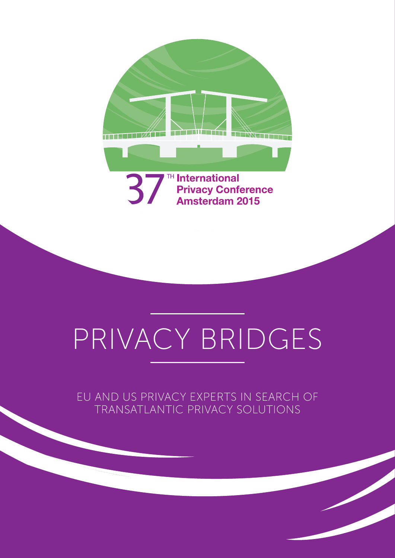

# PRIVACY BRIDGES

EU and US privacy experts in search of transatlantic privacy solutions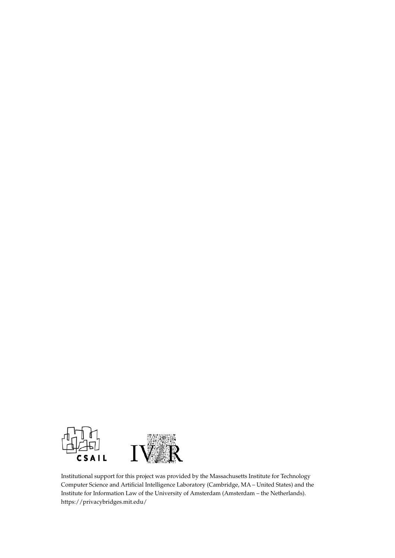

Institutional support for this project was provided by the Massachusetts Institute for Technology Computer Science and Artificial Intelligence Laboratory (Cambridge, MA – United States) and the Institute for Information Law of the University of Amsterdam (Amsterdam – the Netherlands). https://privacybridges.mit.edu/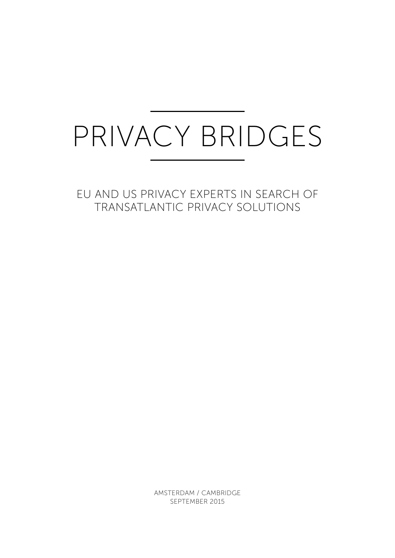# Privacy Bridges

EU and US privacy experts in search of transatlantic privacy solutions

> Amsterdam / Cambridge September 2015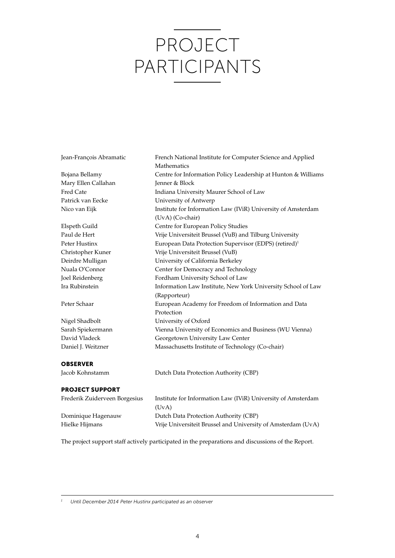# Project Participants

| Jean-François Abramatic | French National Institute for Computer Science and Applied        |
|-------------------------|-------------------------------------------------------------------|
|                         | Mathematics                                                       |
| Bojana Bellamy          | Centre for Information Policy Leadership at Hunton & Williams     |
| Mary Ellen Callahan     | Jenner & Block                                                    |
| Fred Cate               | Indiana University Maurer School of Law                           |
| Patrick van Eecke       | University of Antwerp                                             |
| Nico van Eijk           | Institute for Information Law (IViR) University of Amsterdam      |
|                         | (UvA) (Co-chair)                                                  |
| Elspeth Guild           | Centre for European Policy Studies                                |
| Paul de Hert            | Vrije Universiteit Brussel (VuB) and Tilburg University           |
| Peter Hustinx           | European Data Protection Supervisor (EDPS) (retired) <sup>1</sup> |
| Christopher Kuner       | Vrije Universiteit Brussel (VuB)                                  |
| Deirdre Mulligan        | University of California Berkeley                                 |
| Nuala O'Connor          | Center for Democracy and Technology                               |
| Joel Reidenberg         | Fordham University School of Law                                  |
| Ira Rubinstein          | Information Law Institute, New York University School of Law      |
|                         | (Rapporteur)                                                      |
| Peter Schaar            | European Academy for Freedom of Information and Data              |
|                         | Protection                                                        |
| Nigel Shadbolt          | University of Oxford                                              |
| Sarah Spiekermann       | Vienna University of Economics and Business (WU Vienna)           |
| David Vladeck           | Georgetown University Law Center                                  |
| Daniel J. Weitzner      | Massachusetts Institute of Technology (Co-chair)                  |
| <b>OBSERVER</b>         |                                                                   |
| Jacob Kohnstamm         | Dutch Data Protection Authority (CBP)                             |
| <b>PROJECT SUPPORT</b>  |                                                                   |
|                         |                                                                   |

| Frederik Zuiderveen Borgesius | Institute for Information Law (IViR) University of Amsterdam |
|-------------------------------|--------------------------------------------------------------|
|                               | (UvA)                                                        |
| Dominique Hagenauw            | Dutch Data Protection Authority (CBP)                        |
| Hielke Hijmans                | Vrije Universiteit Brussel and University of Amsterdam (UvA) |

The project support staff actively participated in the preparations and discussions of the Report.

*<sup>1</sup> Until December 2014 Peter Hustinx participated as an observer*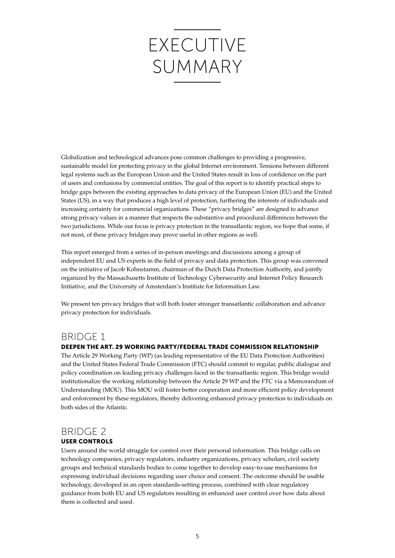# **EXECUTIVE** Summary

Globalization and technological advances pose common challenges to providing a progressive, sustainable model for protecting privacy in the global Internet environment. Tensions between different legal systems such as the European Union and the United States result in loss of confidence on the part of users and confusions by commercial entities. The goal of this report is to identify practical steps to bridge gaps between the existing approaches to data privacy of the European Union (EU) and the United States (US), in a way that produces a high level of protection, furthering the interests of individuals and increasing certainty for commercial organizations. These "privacy bridges" are designed to advance strong privacy values in a manner that respects the substantive and procedural differences between the two jurisdictions. While our focus is privacy protection in the transatlantic region, we hope that some, if not most, of these privacy bridges may prove useful in other regions as well.

This report emerged from a series of in-person meetings and discussions among a group of independent EU and US experts in the field of privacy and data protection. This group was convened on the initiative of Jacob Kohnstamm, chairman of the Dutch Data Protection Authority, and jointly organized by the Massachusetts Institute of Technology Cybersecurity and Internet Policy Research Initiative, and the University of Amsterdam's Institute for Information Law.

We present ten privacy bridges that will both foster stronger transatlantic collaboration and advance privacy protection for individuals.

#### Bridge 1

#### Deepen the Art. 29 Working Party/Federal Trade Commission relationship

The Article 29 Working Party (WP) (as leading representative of the EU Data Protection Authorities) and the United States Federal Trade Commission (FTC) should commit to regular, public dialogue and policy coordination on leading privacy challenges faced in the transatlantic region. This bridge would institutionalize the working relationship between the Article 29 WP and the FTC via a Memorandum of Understanding (MOU). This MOU will foster better cooperation and more efficient policy development and enforcement by these regulators, thereby delivering enhanced privacy protection to individuals on both sides of the Atlantic.

#### Bridge 2

#### User controls

Users around the world struggle for control over their personal information. This bridge calls on technology companies, privacy regulators, industry organizations, privacy scholars, civil society groups and technical standards bodies to come together to develop easy-to-use mechanisms for expressing individual decisions regarding user choice and consent. The outcome should be usable technology, developed in an open standards-setting process, combined with clear regulatory guidance from both EU and US regulators resulting in enhanced user control over how data about them is collected and used.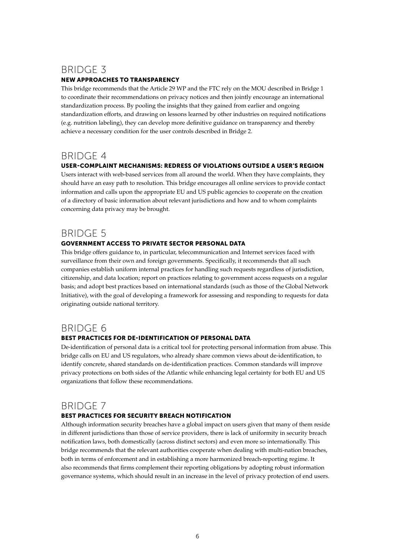#### Bridge 3

#### New approaches to transparency

This bridge recommends that the Article 29 WP and the FTC rely on the MOU described in Bridge 1 to coordinate their recommendations on privacy notices and then jointly encourage an international standardization process. By pooling the insights that they gained from earlier and ongoing standardization efforts, and drawing on lessons learned by other industries on required notifications (e.g. nutrition labeling), they can develop more definitive guidance on transparency and thereby achieve a necessary condition for the user controls described in Bridge 2.

#### BRIDGF 4

#### User-complaint mechanisms: Redress of violations outside a user's region

Users interact with web-based services from all around the world. When they have complaints, they should have an easy path to resolution. This bridge encourages all online services to provide contact information and calls upon the appropriate EU and US public agencies to cooperate on the creation of a directory of basic information about relevant jurisdictions and how and to whom complaints concerning data privacy may be brought.

#### BRIDGE 5

#### Government access to private sector personal data

This bridge offers guidance to, in particular, telecommunication and Internet services faced with surveillance from their own and foreign governments. Specifically, it recommends that all such companies establish uniform internal practices for handling such requests regardless of jurisdiction, citizenship, and data location; report on practices relating to government access requests on a regular basis; and adopt best practices based on international standards (such as those of the Global Network Initiative), with the goal of developing a framework for assessing and responding to requests for data originating outside national territory.

#### Bridge 6

#### Best practices for de-identification of personal data

De-identification of personal data is a critical tool for protecting personal information from abuse. This bridge calls on EU and US regulators, who already share common views about de-identification, to identify concrete, shared standards on de-identification practices. Common standards will improve privacy protections on both sides of the Atlantic while enhancing legal certainty for both EU and US organizations that follow these recommendations.

#### BRIDGE 7

#### Best practices for security breach notification

Although information security breaches have a global impact on users given that many of them reside in different jurisdictions than those of service providers, there is lack of uniformity in security breach notification laws, both domestically (across distinct sectors) and even more so internationally. This bridge recommends that the relevant authorities cooperate when dealing with multi-nation breaches, both in terms of enforcement and in establishing a more harmonized breach-reporting regime. It also recommends that firms complement their reporting obligations by adopting robust information governance systems, which should result in an increase in the level of privacy protection of end users.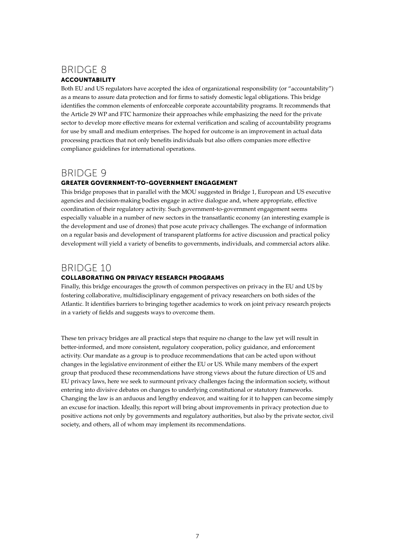#### Bridge 8

#### **ACCOUNTABILITY**

Both EU and US regulators have accepted the idea of organizational responsibility (or "accountability") as a means to assure data protection and for firms to satisfy domestic legal obligations. This bridge identifies the common elements of enforceable corporate accountability programs. It recommends that the Article 29 WP and FTC harmonize their approaches while emphasizing the need for the private sector to develop more effective means for external verification and scaling of accountability programs for use by small and medium enterprises. The hoped for outcome is an improvement in actual data processing practices that not only benefits individuals but also offers companies more effective compliance guidelines for international operations.

#### Bridge 9

#### Greater government-to-government engagement

This bridge proposes that in parallel with the MOU suggested in Bridge 1, European and US executive agencies and decision-making bodies engage in active dialogue and, where appropriate, effective coordination of their regulatory activity. Such government-to-government engagement seems especially valuable in a number of new sectors in the transatlantic economy (an interesting example is the development and use of drones) that pose acute privacy challenges. The exchange of information on a regular basis and development of transparent platforms for active discussion and practical policy development will yield a variety of benefits to governments, individuals, and commercial actors alike.

#### Bridge 10

#### Collaborating on privacy research programs

Finally, this bridge encourages the growth of common perspectives on privacy in the EU and US by fostering collaborative, multidisciplinary engagement of privacy researchers on both sides of the Atlantic. It identifies barriers to bringing together academics to work on joint privacy research projects in a variety of fields and suggests ways to overcome them.

These ten privacy bridges are all practical steps that require no change to the law yet will result in better-informed, and more consistent, regulatory cooperation, policy guidance, and enforcement activity. Our mandate as a group is to produce recommendations that can be acted upon without changes in the legislative environment of either the EU or US. While many members of the expert group that produced these recommendations have strong views about the future direction of US and EU privacy laws, here we seek to surmount privacy challenges facing the information society, without entering into divisive debates on changes to underlying constitutional or statutory frameworks. Changing the law is an arduous and lengthy endeavor, and waiting for it to happen can become simply an excuse for inaction. Ideally, this report will bring about improvements in privacy protection due to positive actions not only by governments and regulatory authorities, but also by the private sector, civil society, and others, all of whom may implement its recommendations.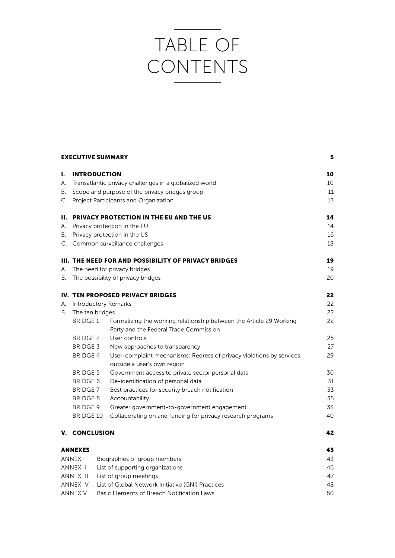# Table of **CONTENTS**

|          | <b>EXECUTIVE SUMMARY</b>     |                                                                      | 5  |
|----------|------------------------------|----------------------------------------------------------------------|----|
| ı.       | <b>INTRODUCTION</b>          |                                                                      | 10 |
| А.       |                              | Transatlantic privacy challenges in a globalized world               | 10 |
| В.       |                              | Scope and purpose of the privacy bridges group                       | 11 |
| C.       |                              | Project Participants and Organization                                | 13 |
| н.       |                              | <b>PRIVACY PROTECTION IN THE EU AND THE US</b>                       | 14 |
| А.       | Privacy protection in the EU |                                                                      | 14 |
| В.       | Privacy protection in the US |                                                                      | 16 |
|          |                              | C. Common surveillance challenges                                    | 18 |
|          |                              | <b>III. THE NEED FOR AND POSSIBILITY OF PRIVACY BRIDGES</b>          | 19 |
| А.       |                              | The need for privacy bridges                                         | 19 |
| В.       |                              | The possibility of privacy bridges                                   | 20 |
|          |                              | <b>IV. TEN PROPOSED PRIVACY BRIDGES</b>                              | 22 |
| А.       |                              | <b>Introductory Remarks</b>                                          | 22 |
| В.       | The ten bridges              |                                                                      | 22 |
|          | <b>BRIDGE 1</b>              | Formalizing the working relationship between the Article 29 Working  | 22 |
|          |                              | Party and the Federal Trade Commission                               |    |
|          | <b>BRIDGE 2</b>              | User controls                                                        | 25 |
|          | <b>BRIDGE 3</b>              | New approaches to transparency                                       | 27 |
|          | <b>BRIDGE 4</b>              | User-complaint mechanisms: Redress of privacy violations by services | 29 |
|          |                              | outside a user's own region                                          |    |
|          | <b>BRIDGE 5</b>              | Government access to private sector personal data                    | 30 |
|          | <b>BRIDGE 6</b>              | De-identification of personal data                                   | 31 |
|          | <b>BRIDGE 7</b>              | Best practices for security breach notification                      | 33 |
|          | <b>BRIDGE 8</b>              | Accountability                                                       | 35 |
|          | <b>BRIDGE 9</b>              | Greater government-to-government engagement                          | 38 |
|          | <b>BRIDGE 10</b>             | Collaborating on and funding for privacy research programs           | 40 |
| v.       | <b>CONCLUSION</b>            |                                                                      | 42 |
|          | <b>ANNEXES</b>               |                                                                      | 43 |
|          | <b>ANNEX I</b>               | Biographies of group members                                         | 43 |
| ANNEX II |                              | List of supporting organizations                                     | 46 |
|          | <b>ANNEX III</b>             | List of group meetings                                               | 47 |

ANNEX IV List of Global Network Initiative (GNI) Practices 48 ANNEX V Basic Elements of Breach Notification Laws 50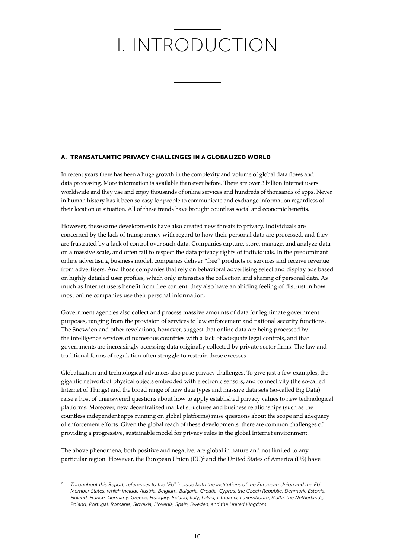# I. INTRODUCTION

#### A. Transatlantic Privacy Challenges in a Globalized World

In recent years there has been a huge growth in the complexity and volume of global data flows and data processing. More information is available than ever before. There are over 3 billion Internet users worldwide and they use and enjoy thousands of online services and hundreds of thousands of apps. Never in human history has it been so easy for people to communicate and exchange information regardless of their location or situation. All of these trends have brought countless social and economic benefits.

However, these same developments have also created new threats to privacy. Individuals are concerned by the lack of transparency with regard to how their personal data are processed, and they are frustrated by a lack of control over such data. Companies capture, store, manage, and analyze data on a massive scale, and often fail to respect the data privacy rights of individuals. In the predominant online advertising business model, companies deliver "free" products or services and receive revenue from advertisers. And those companies that rely on behavioral advertising select and display ads based on highly detailed user profiles, which only intensifies the collection and sharing of personal data. As much as Internet users benefit from free content, they also have an abiding feeling of distrust in how most online companies use their personal information.

Government agencies also collect and process massive amounts of data for legitimate government purposes, ranging from the provision of services to law enforcement and national security functions. The Snowden and other revelations, however, suggest that online data are being processed by the intelligence services of numerous countries with a lack of adequate legal controls, and that governments are increasingly accessing data originally collected by private sector firms. The law and traditional forms of regulation often struggle to restrain these excesses.

Globalization and technological advances also pose privacy challenges. To give just a few examples, the gigantic network of physical objects embedded with electronic sensors, and connectivity (the so-called Internet of Things) and the broad range of new data types and massive data sets (so-called Big Data) raise a host of unanswered questions about how to apply established privacy values to new technological platforms. Moreover, new decentralized market structures and business relationships (such as the countless independent apps running on global platforms) raise questions about the scope and adequacy of enforcement efforts. Given the global reach of these developments, there are common challenges of providing a progressive, sustainable model for privacy rules in the global Internet environment.

The above phenomena, both positive and negative, are global in nature and not limited to any particular region. However, the European Union (EU)<sup>2</sup> and the United States of America (US) have

*<sup>2</sup> Throughout this Report, references to the "EU" include both the institutions of the European Union and the EU Member States, which include Austria, Belgium, Bulgaria, Croatia, Cyprus, the Czech Republic, Denmark, Estonia, Finland, France, Germany, Greece, Hungary, Ireland, Italy, Latvia, Lithuania, Luxembourg, Malta, the Netherlands, Poland, Portugal, Romania, Slovakia, Slovenia, Spain, Sweden, and the United Kingdom.*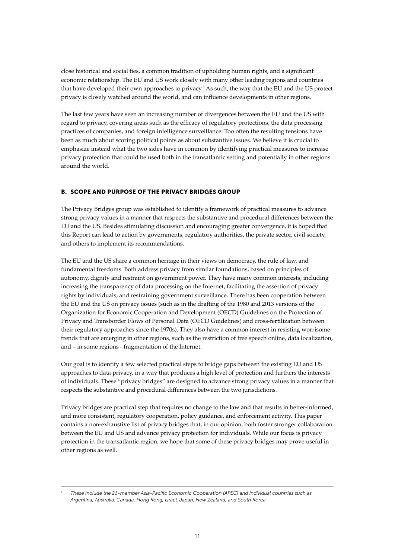close historical and social ties, a common tradition of upholding human rights, and a significant economic relationship. The EU and US work closely with many other leading regions and countries that have developed their own approaches to privacy.<sup>3</sup> As such, the way that the EU and the US protect privacy is closely watched around the world, and can influence developments in other regions.

The last few years have seen an increasing number of divergences between the EU and the US with regard to privacy, covering areas such as the efficacy of regulatory protections, the data processing practices of companies, and foreign intelligence surveillance. Too often the resulting tensions have been as much about scoring political points as about substantive issues. We believe it is crucial to emphasize instead what the two sides have in common by identifying practical measures to increase privacy protection that could be used both in the transatlantic setting and potentially in other regions around the world.

#### B. Scope and Purpose of the Privacy Bridges Group

The Privacy Bridges group was established to identify a framework of practical measures to advance strong privacy values in a manner that respects the substantive and procedural differences between the EU and the US. Besides stimulating discussion and encouraging greater convergence, it is hoped that this Report can lead to action by governments, regulatory authorities, the private sector, civil society, and others to implement its recommendations.

The EU and the US share a common heritage in their views on democracy, the rule of law, and fundamental freedoms. Both address privacy from similar foundations, based on principles of autonomy, dignity and restraint on government power. They have many common interests, including increasing the transparency of data processing on the Internet, facilitating the assertion of privacy rights by individuals, and restraining government surveillance. There has been cooperation between the EU and the US on privacy issues (such as in the drafting of the 1980 and 2013 versions of the Organization for Economic Cooperation and Development (OECD) Guidelines on the Protection of Privacy and Transborder Flows of Personal Data (OECD Guidelines) and cross-fertilization between their regulatory approaches since the 1970s). They also have a common interest in resisting worrisome trends that are emerging in other regions, such as the restriction of free speech online, data localization, and – in some regions - fragmentation of the Internet.

Our goal is to identify a few selected practical steps to bridge gaps between the existing EU and US approaches to data privacy, in a way that produces a high level of protection and furthers the interests of individuals. These "privacy bridges" are designed to advance strong privacy values in a manner that respects the substantive and procedural differences between the two jurisdictions.

Privacy bridges are practical step that requires no change to the law and that results in better-informed, and more consistent, regulatory cooperation, policy guidance, and enforcement activity. This paper contains a non-exhaustive list of privacy bridges that, in our opinion, both foster stronger collaboration between the EU and US and advance privacy protection for individuals. While our focus is privacy protection in the transatlantic region, we hope that some of these privacy bridges may prove useful in other regions as well.

*<sup>3</sup> These include the 21-member Asia-Pacific Economic Cooperation (APEC) and individual countries such as Argentina, Australia, Canada, Hong Kong, Israel, Japan, New Zealand, and South Korea.*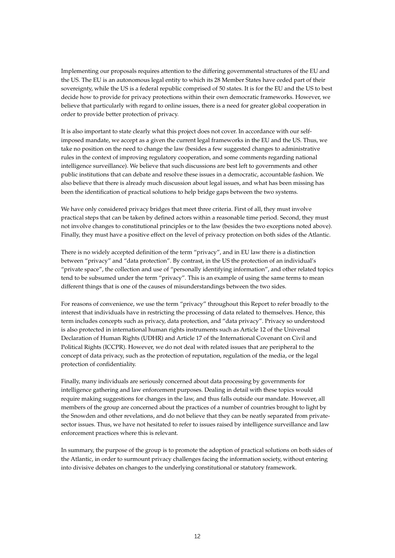Implementing our proposals requires attention to the differing governmental structures of the EU and the US. The EU is an autonomous legal entity to which its 28 Member States have ceded part of their sovereignty, while the US is a federal republic comprised of 50 states. It is for the EU and the US to best decide how to provide for privacy protections within their own democratic frameworks. However, we believe that particularly with regard to online issues, there is a need for greater global cooperation in order to provide better protection of privacy.

It is also important to state clearly what this project does not cover. In accordance with our selfimposed mandate, we accept as a given the current legal frameworks in the EU and the US. Thus, we take no position on the need to change the law (besides a few suggested changes to administrative rules in the context of improving regulatory cooperation, and some comments regarding national intelligence surveillance). We believe that such discussions are best left to governments and other public institutions that can debate and resolve these issues in a democratic, accountable fashion. We also believe that there is already much discussion about legal issues, and what has been missing has been the identification of practical solutions to help bridge gaps between the two systems.

We have only considered privacy bridges that meet three criteria. First of all, they must involve practical steps that can be taken by defined actors within a reasonable time period. Second, they must not involve changes to constitutional principles or to the law (besides the two exceptions noted above). Finally, they must have a positive effect on the level of privacy protection on both sides of the Atlantic.

There is no widely accepted definition of the term "privacy", and in EU law there is a distinction between "privacy" and "data protection". By contrast, in the US the protection of an individual's "private space", the collection and use of "personally identifying information", and other related topics tend to be subsumed under the term "privacy". This is an example of using the same terms to mean different things that is one of the causes of misunderstandings between the two sides.

For reasons of convenience, we use the term "privacy" throughout this Report to refer broadly to the interest that individuals have in restricting the processing of data related to themselves. Hence, this term includes concepts such as privacy, data protection, and "data privacy". Privacy so understood is also protected in international human rights instruments such as Article 12 of the Universal Declaration of Human Rights (UDHR) and Article 17 of the International Covenant on Civil and Political Rights (ICCPR). However, we do not deal with related issues that are peripheral to the concept of data privacy, such as the protection of reputation, regulation of the media, or the legal protection of confidentiality.

Finally, many individuals are seriously concerned about data processing by governments for intelligence gathering and law enforcement purposes. Dealing in detail with these topics would require making suggestions for changes in the law, and thus falls outside our mandate. However, all members of the group are concerned about the practices of a number of countries brought to light by the Snowden and other revelations, and do not believe that they can be neatly separated from privatesector issues. Thus, we have not hesitated to refer to issues raised by intelligence surveillance and law enforcement practices where this is relevant.

In summary, the purpose of the group is to promote the adoption of practical solutions on both sides of the Atlantic, in order to surmount privacy challenges facing the information society, without entering into divisive debates on changes to the underlying constitutional or statutory framework.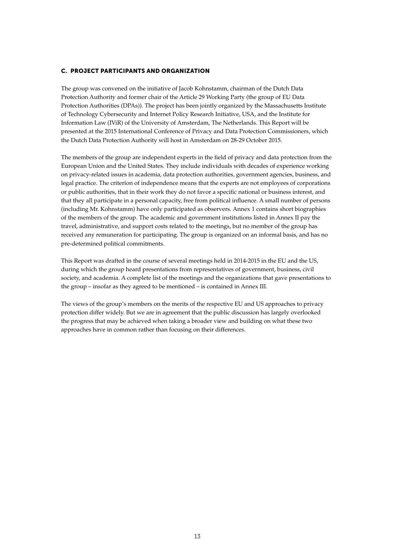#### C. Project Participants and Organization

The group was convened on the initiative of Jacob Kohnstamm, chairman of the Dutch Data Protection Authority and former chair of the Article 29 Working Party (the group of EU Data Protection Authorities (DPAs)). The project has been jointly organized by the Massachusetts Institute of Technology Cybersecurity and Internet Policy Research Initiative, USA, and the Institute for Information Law (IViR) of the University of Amsterdam, The Netherlands. This Report will be presented at the 2015 International Conference of Privacy and Data Protection Commissioners, which the Dutch Data Protection Authority will host in Amsterdam on 28-29 October 2015.

The members of the group are independent experts in the field of privacy and data protection from the European Union and the United States. They include individuals with decades of experience working on privacy-related issues in academia, data protection authorities, government agencies, business, and legal practice. The criterion of independence means that the experts are not employees of corporations or public authorities, that in their work they do not favor a specific national or business interest, and that they all participate in a personal capacity, free from political influence. A small number of persons (including Mr. Kohnstamm) have only participated as observers. Annex 1 contains short biographies of the members of the group. The academic and government institutions listed in Annex II pay the travel, administrative, and support costs related to the meetings, but no member of the group has received any remuneration for participating. The group is organized on an informal basis, and has no pre-determined political commitments.

This Report was drafted in the course of several meetings held in 2014-2015 in the EU and the US, during which the group heard presentations from representatives of government, business, civil society, and academia. A complete list of the meetings and the organizations that gave presentations to the group – insofar as they agreed to be mentioned – is contained in Annex III.

The views of the group's members on the merits of the respective EU and US approaches to privacy protection differ widely. But we are in agreement that the public discussion has largely overlooked the progress that may be achieved when taking a broader view and building on what these two approaches have in common rather than focusing on their differences.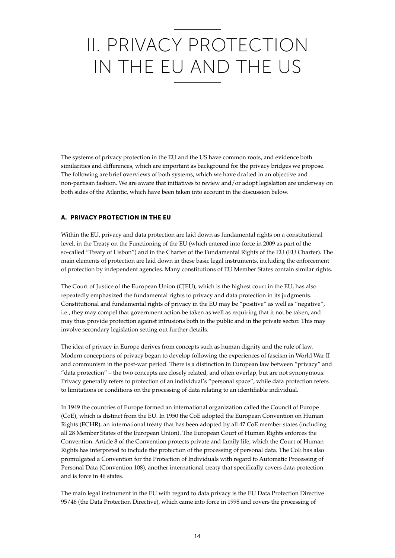# II. PRIVACY PROTECTION IN THE EU AND THE US

The systems of privacy protection in the EU and the US have common roots, and evidence both similarities and differences, which are important as background for the privacy bridges we propose. The following are brief overviews of both systems, which we have drafted in an objective and non-partisan fashion. We are aware that initiatives to review and/or adopt legislation are underway on both sides of the Atlantic, which have been taken into account in the discussion below.

#### A. Privacy Protection in the EU

Within the EU, privacy and data protection are laid down as fundamental rights on a constitutional level, in the Treaty on the Functioning of the EU (which entered into force in 2009 as part of the so-called "Treaty of Lisbon") and in the Charter of the Fundamental Rights of the EU (EU Charter). The main elements of protection are laid down in these basic legal instruments, including the enforcement of protection by independent agencies. Many constitutions of EU Member States contain similar rights.

The Court of Justice of the European Union (CJEU), which is the highest court in the EU, has also repeatedly emphasized the fundamental rights to privacy and data protection in its judgments. Constitutional and fundamental rights of privacy in the EU may be "positive" as well as "negative", i.e., they may compel that government action be taken as well as requiring that it not be taken, and may thus provide protection against intrusions both in the public and in the private sector. This may involve secondary legislation setting out further details.

The idea of privacy in Europe derives from concepts such as human dignity and the rule of law. Modern conceptions of privacy began to develop following the experiences of fascism in World War II and communism in the post-war period. There is a distinction in European law between "privacy" and "data protection" – the two concepts are closely related, and often overlap, but are not synonymous. Privacy generally refers to protection of an individual's "personal space", while data protection refers to limitations or conditions on the processing of data relating to an identifiable individual.

In 1949 the countries of Europe formed an international organization called the Council of Europe (CoE), which is distinct from the EU. In 1950 the CoE adopted the European Convention on Human Rights (ECHR), an international treaty that has been adopted by all 47 CoE member states (including all 28 Member States of the European Union). The European Court of Human Rights enforces the Convention. Article 8 of the Convention protects private and family life, which the Court of Human Rights has interpreted to include the protection of the processing of personal data. The CoE has also promulgated a Convention for the Protection of Individuals with regard to Automatic Processing of Personal Data (Convention 108), another international treaty that specifically covers data protection and is force in 46 states.

The main legal instrument in the EU with regard to data privacy is the EU Data Protection Directive 95/46 (the Data Protection Directive), which came into force in 1998 and covers the processing of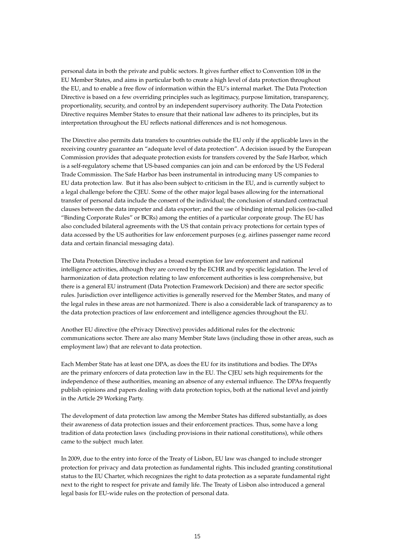personal data in both the private and public sectors. It gives further effect to Convention 108 in the EU Member States, and aims in particular both to create a high level of data protection throughout the EU, and to enable a free flow of information within the EU's internal market. The Data Protection Directive is based on a few overriding principles such as legitimacy, purpose limitation, transparency, proportionality, security, and control by an independent supervisory authority. The Data Protection Directive requires Member States to ensure that their national law adheres to its principles, but its interpretation throughout the EU reflects national differences and is not homogenous.

The Directive also permits data transfers to countries outside the EU only if the applicable laws in the receiving country guarantee an "adequate level of data protection". A decision issued by the European Commission provides that adequate protection exists for transfers covered by the Safe Harbor, which is a self-regulatory scheme that US-based companies can join and can be enforced by the US Federal Trade Commission. The Safe Harbor has been instrumental in introducing many US companies to EU data protection law. But it has also been subject to criticism in the EU, and is currently subject to a legal challenge before the CJEU. Some of the other major legal bases allowing for the international transfer of personal data include the consent of the individual; the conclusion of standard contractual clauses between the data importer and data exporter; and the use of binding internal policies (so-called "Binding Corporate Rules" or BCRs) among the entities of a particular corporate group. The EU has also concluded bilateral agreements with the US that contain privacy protections for certain types of data accessed by the US authorities for law enforcement purposes (e.g. airlines passenger name record data and certain financial messaging data).

The Data Protection Directive includes a broad exemption for law enforcement and national intelligence activities, although they are covered by the ECHR and by specific legislation. The level of harmonization of data protection relating to law enforcement authorities is less comprehensive, but there is a general EU instrument (Data Protection Framework Decision) and there are sector specific rules. Jurisdiction over intelligence activities is generally reserved for the Member States, and many of the legal rules in these areas are not harmonized. There is also a considerable lack of transparency as to the data protection practices of law enforcement and intelligence agencies throughout the EU.

Another EU directive (the ePrivacy Directive) provides additional rules for the electronic communications sector. There are also many Member State laws (including those in other areas, such as employment law) that are relevant to data protection.

Each Member State has at least one DPA, as does the EU for its institutions and bodies. The DPAs are the primary enforcers of data protection law in the EU. The CJEU sets high requirements for the independence of these authorities, meaning an absence of any external influence. The DPAs frequently publish opinions and papers dealing with data protection topics, both at the national level and jointly in the Article 29 Working Party.

The development of data protection law among the Member States has differed substantially, as does their awareness of data protection issues and their enforcement practices. Thus, some have a long tradition of data protection laws (including provisions in their national constitutions), while others came to the subject much later.

In 2009, due to the entry into force of the Treaty of Lisbon, EU law was changed to include stronger protection for privacy and data protection as fundamental rights. This included granting constitutional status to the EU Charter, which recognizes the right to data protection as a separate fundamental right next to the right to respect for private and family life. The Treaty of Lisbon also introduced a general legal basis for EU-wide rules on the protection of personal data.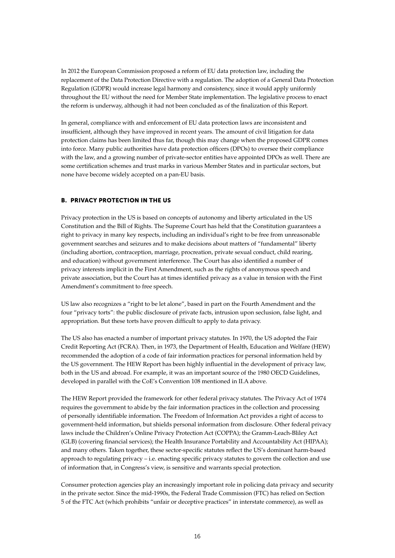In 2012 the European Commission proposed a reform of EU data protection law, including the replacement of the Data Protection Directive with a regulation. The adoption of a General Data Protection Regulation (GDPR) would increase legal harmony and consistency, since it would apply uniformly throughout the EU without the need for Member State implementation. The legislative process to enact the reform is underway, although it had not been concluded as of the finalization of this Report.

In general, compliance with and enforcement of EU data protection laws are inconsistent and insufficient, although they have improved in recent years. The amount of civil litigation for data protection claims has been limited thus far, though this may change when the proposed GDPR comes into force. Many public authorities have data protection officers (DPOs) to oversee their compliance with the law, and a growing number of private-sector entities have appointed DPOs as well. There are some certification schemes and trust marks in various Member States and in particular sectors, but none have become widely accepted on a pan-EU basis.

#### B. PRIVACY PROTECTION IN THE US

Privacy protection in the US is based on concepts of autonomy and liberty articulated in the US Constitution and the Bill of Rights. The Supreme Court has held that the Constitution guarantees a right to privacy in many key respects, including an individual's right to be free from unreasonable government searches and seizures and to make decisions about matters of "fundamental" liberty (including abortion, contraception, marriage, procreation, private sexual conduct, child rearing, and education) without government interference. The Court has also identified a number of privacy interests implicit in the First Amendment, such as the rights of anonymous speech and private association, but the Court has at times identified privacy as a value in tension with the First Amendment's commitment to free speech.

US law also recognizes a "right to be let alone", based in part on the Fourth Amendment and the four "privacy torts": the public disclosure of private facts, intrusion upon seclusion, false light, and appropriation. But these torts have proven difficult to apply to data privacy.

The US also has enacted a number of important privacy statutes. In 1970, the US adopted the Fair Credit Reporting Act (FCRA). Then, in 1973, the Department of Health, Education and Welfare (HEW) recommended the adoption of a code of fair information practices for personal information held by the US government. The HEW Report has been highly influential in the development of privacy law, both in the US and abroad. For example, it was an important source of the 1980 OECD Guidelines, developed in parallel with the CoE's Convention 108 mentioned in II.A above.

The HEW Report provided the framework for other federal privacy statutes. The Privacy Act of 1974 requires the government to abide by the fair information practices in the collection and processing of personally identifiable information. The Freedom of Information Act provides a right of access to government-held information, but shields personal information from disclosure. Other federal privacy laws include the Children's Online Privacy Protection Act (COPPA); the Gramm-Leach-Bliley Act (GLB) (covering financial services); the Health Insurance Portability and Accountability Act (HIPAA); and many others. Taken together, these sector-specific statutes reflect the US's dominant harm-based approach to regulating privacy – i.e. enacting specific privacy statutes to govern the collection and use of information that, in Congress's view, is sensitive and warrants special protection.

Consumer protection agencies play an increasingly important role in policing data privacy and security in the private sector. Since the mid-1990s, the Federal Trade Commission (FTC) has relied on Section 5 of the FTC Act (which prohibits "unfair or deceptive practices" in interstate commerce), as well as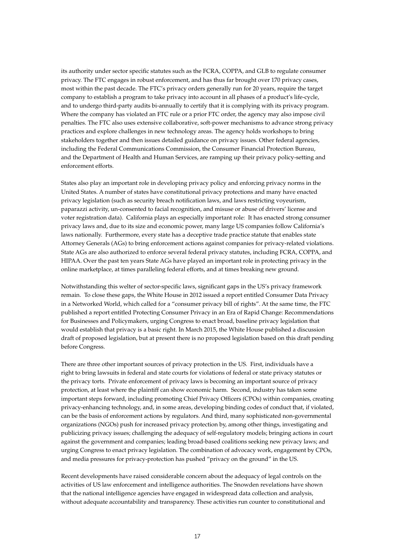its authority under sector specific statutes such as the FCRA, COPPA, and GLB to regulate consumer privacy. The FTC engages in robust enforcement, and has thus far brought over 170 privacy cases, most within the past decade. The FTC's privacy orders generally run for 20 years, require the target company to establish a program to take privacy into account in all phases of a product's life-cycle, and to undergo third-party audits bi-annually to certify that it is complying with its privacy program. Where the company has violated an FTC rule or a prior FTC order, the agency may also impose civil penalties. The FTC also uses extensive collaborative, soft-power mechanisms to advance strong privacy practices and explore challenges in new technology areas. The agency holds workshops to bring stakeholders together and then issues detailed guidance on privacy issues. Other federal agencies, including the Federal Communications Commission, the Consumer Financial Protection Bureau, and the Department of Health and Human Services, are ramping up their privacy policy-setting and enforcement efforts.

States also play an important role in developing privacy policy and enforcing privacy norms in the United States. A number of states have constitutional privacy protections and many have enacted privacy legislation (such as security breach notification laws, and laws restricting voyeurism, paparazzi activity, un-consented to facial recognition, and misuse or abuse of drivers' license and voter registration data). California plays an especially important role: It has enacted strong consumer privacy laws and, due to its size and economic power, many large US companies follow California's laws nationally. Furthermore, every state has a deceptive trade practice statute that enables state Attorney Generals (AGs) to bring enforcement actions against companies for privacy-related violations. State AGs are also authorized to enforce several federal privacy statutes, including FCRA, COPPA, and HIPAA. Over the past ten years State AGs have played an important role in protecting privacy in the online marketplace, at times paralleling federal efforts, and at times breaking new ground.

Notwithstanding this welter of sector-specific laws, significant gaps in the US's privacy framework remain. To close these gaps, the White House in 2012 issued a report entitled Consumer Data Privacy in a Networked World, which called for a "consumer privacy bill of rights". At the same time, the FTC published a report entitled Protecting Consumer Privacy in an Era of Rapid Change: Recommendations for Businesses and Policymakers, urging Congress to enact broad, baseline privacy legislation that would establish that privacy is a basic right. In March 2015, the White House published a discussion draft of proposed legislation, but at present there is no proposed legislation based on this draft pending before Congress.

There are three other important sources of privacy protection in the US. First, individuals have a right to bring lawsuits in federal and state courts for violations of federal or state privacy statutes or the privacy torts. Private enforcement of privacy laws is becoming an important source of privacy protection, at least where the plaintiff can show economic harm. Second, industry has taken some important steps forward, including promoting Chief Privacy Officers (CPOs) within companies, creating privacy-enhancing technology, and, in some areas, developing binding codes of conduct that, if violated, can be the basis of enforcement actions by regulators. And third, many sophisticated non-governmental organizations (NGOs) push for increased privacy protection by, among other things, investigating and publicizing privacy issues; challenging the adequacy of self-regulatory models; bringing actions in court against the government and companies; leading broad-based coalitions seeking new privacy laws; and urging Congress to enact privacy legislation. The combination of advocacy work, engagement by CPOs, and media pressures for privacy-protection has pushed "privacy on the ground" in the US.

Recent developments have raised considerable concern about the adequacy of legal controls on the activities of US law enforcement and intelligence authorities. The Snowden revelations have shown that the national intelligence agencies have engaged in widespread data collection and analysis, without adequate accountability and transparency. These activities run counter to constitutional and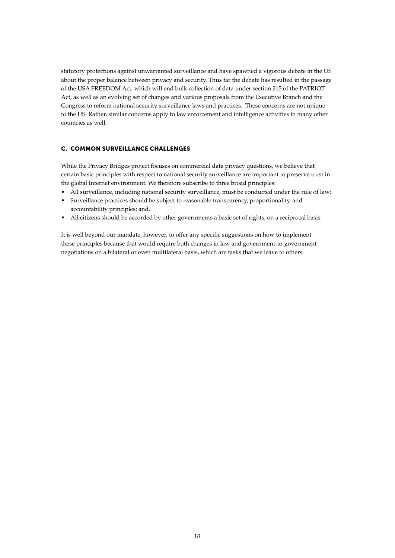statutory protections against unwarranted surveillance and have spawned a vigorous debate in the US about the proper balance between privacy and security. Thus far the debate has resulted in the passage of the USA FREEDOM Act, which will end bulk collection of data under section 215 of the PATRIOT Act, as well as an evolving set of changes and various proposals from the Executive Branch and the Congress to reform national security surveillance laws and practices. These concerns are not unique to the US. Rather, similar concerns apply to law enforcement and intelligence activities in many other countries as well.

#### C. Common Surveillance Challenges

While the Privacy Bridges project focuses on commercial data privacy questions, we believe that certain basic principles with respect to national security surveillance are important to preserve trust in the global Internet environment. We therefore subscribe to three broad principles:

- All surveillance, including national security surveillance, must be conducted under the rule of law;
- Surveillance practices should be subject to reasonable transparency, proportionality, and accountability principles; and,
- • All citizens should be accorded by other governments a basic set of rights, on a reciprocal basis.

It is well beyond our mandate, however, to offer any specific suggestions on how to implement these principles because that would require both changes in law and government-to-government negotiations on a bilateral or even multilateral basis, which are tasks that we leave to others.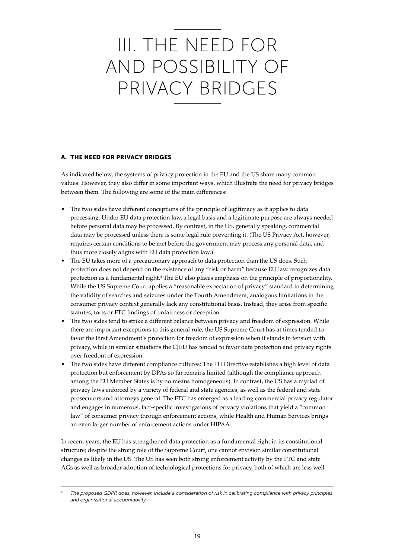### III. THE NEED FOR AND POSSIBILITY OF PRIVACY BRIDGES

#### A. The Need for Privacy Bridges

As indicated below, the systems of privacy protection in the EU and the US share many common values. However, they also differ in some important ways, which illustrate the need for privacy bridges between them. The following are some of the main differences:

- The two sides have different conceptions of the principle of legitimacy as it applies to data processing. Under EU data protection law, a legal basis and a legitimate purpose are always needed before personal data may be processed. By contrast, in the US, generally speaking, commercial data may be processed unless there is some legal rule preventing it. (The US Privacy Act, however, requires certain conditions to be met before the government may process any personal data, and thus more closely aligns with EU data protection law.)
- The EU takes more of a precautionary approach to data protection than the US does. Such protection does not depend on the existence of any "risk or harm" because EU law recognizes data protection as a fundamental right.<sup>4</sup> The EU also places emphasis on the principle of proportionality. While the US Supreme Court applies a "reasonable expectation of privacy" standard in determining the validity of searches and seizures under the Fourth Amendment, analogous limitations in the consumer privacy context generally lack any constitutional basis. Instead, they arise from specific statutes, torts or FTC findings of unfairness or deception.
- The two sides tend to strike a different balance between privacy and freedom of expression. While there are important exceptions to this general rule, the US Supreme Court has at times tended to favor the First Amendment's protection for freedom of expression when it stands in tension with privacy, while in similar situations the CJEU has tended to favor data protection and privacy rights over freedom of expression.
- The two sides have different compliance cultures: The EU Directive establishes a high level of data protection but enforcement by DPAs so far remains limited (although the compliance approach among the EU Member States is by no means homogeneous). In contrast, the US has a myriad of privacy laws enforced by a variety of federal and state agencies, as well as the federal and state prosecutors and attorneys general. The FTC has emerged as a leading commercial privacy regulator and engages in numerous, fact-specific investigations of privacy violations that yield a "common law" of consumer privacy through enforcement actions, while Health and Human Services brings an even larger number of enforcement actions under HIPAA.

In recent years, the EU has strengthened data protection as a fundamental right in its constitutional structure; despite the strong role of the Supreme Court, one cannot envision similar constitutional changes as likely in the US. The US has seen both strong enforcement activity by the FTC and state AGs as well as broader adoption of technological protections for privacy, both of which are less well

*<sup>4</sup> The proposed GDPR does, however, include a consideration of risk in calibrating compliance with privacy principles and organizational accountability.*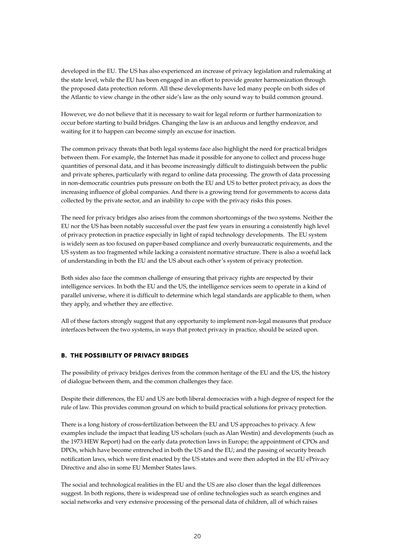developed in the EU. The US has also experienced an increase of privacy legislation and rulemaking at the state level, while the EU has been engaged in an effort to provide greater harmonization through the proposed data protection reform. All these developments have led many people on both sides of the Atlantic to view change in the other side's law as the only sound way to build common ground.

However, we do not believe that it is necessary to wait for legal reform or further harmonization to occur before starting to build bridges. Changing the law is an arduous and lengthy endeavor, and waiting for it to happen can become simply an excuse for inaction.

The common privacy threats that both legal systems face also highlight the need for practical bridges between them. For example, the Internet has made it possible for anyone to collect and process huge quantities of personal data, and it has become increasingly difficult to distinguish between the public and private spheres, particularly with regard to online data processing. The growth of data processing in non-democratic countries puts pressure on both the EU and US to better protect privacy, as does the increasing influence of global companies. And there is a growing trend for governments to access data collected by the private sector, and an inability to cope with the privacy risks this poses.

The need for privacy bridges also arises from the common shortcomings of the two systems. Neither the EU nor the US has been notably successful over the past few years in ensuring a consistently high level of privacy protection in practice especially in light of rapid technology developments. The EU system is widely seen as too focused on paper-based compliance and overly bureaucratic requirements, and the US system as too fragmented while lacking a consistent normative structure. There is also a woeful lack of understanding in both the EU and the US about each other's system of privacy protection.

Both sides also face the common challenge of ensuring that privacy rights are respected by their intelligence services. In both the EU and the US, the intelligence services seem to operate in a kind of parallel universe, where it is difficult to determine which legal standards are applicable to them, when they apply, and whether they are effective.

All of these factors strongly suggest that any opportunity to implement non-legal measures that produce interfaces between the two systems, in ways that protect privacy in practice, should be seized upon.

#### B. The Possibility of Privacy Bridges

The possibility of privacy bridges derives from the common heritage of the EU and the US, the history of dialogue between them, and the common challenges they face.

Despite their differences, the EU and US are both liberal democracies with a high degree of respect for the rule of law. This provides common ground on which to build practical solutions for privacy protection.

There is a long history of cross-fertilization between the EU and US approaches to privacy. A few examples include the impact that leading US scholars (such as Alan Westin) and developments (such as the 1973 HEW Report) had on the early data protection laws in Europe; the appointment of CPOs and DPOs, which have become entrenched in both the US and the EU; and the passing of security breach notification laws, which were first enacted by the US states and were then adopted in the EU ePrivacy Directive and also in some EU Member States laws.

The social and technological realities in the EU and the US are also closer than the legal differences suggest. In both regions, there is widespread use of online technologies such as search engines and social networks and very extensive processing of the personal data of children, all of which raises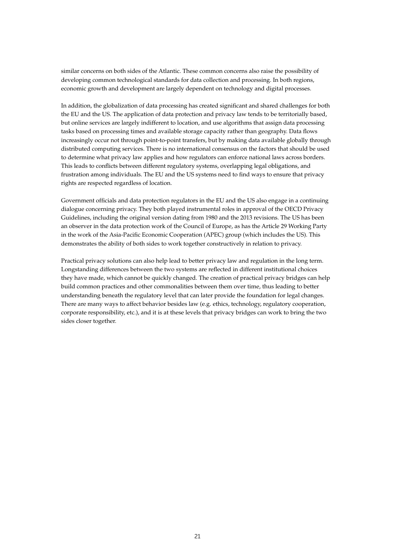similar concerns on both sides of the Atlantic. These common concerns also raise the possibility of developing common technological standards for data collection and processing. In both regions, economic growth and development are largely dependent on technology and digital processes.

In addition, the globalization of data processing has created significant and shared challenges for both the EU and the US. The application of data protection and privacy law tends to be territorially based, but online services are largely indifferent to location, and use algorithms that assign data processing tasks based on processing times and available storage capacity rather than geography. Data flows increasingly occur not through point-to-point transfers, but by making data available globally through distributed computing services. There is no international consensus on the factors that should be used to determine what privacy law applies and how regulators can enforce national laws across borders. This leads to conflicts between different regulatory systems, overlapping legal obligations, and frustration among individuals. The EU and the US systems need to find ways to ensure that privacy rights are respected regardless of location.

Government officials and data protection regulators in the EU and the US also engage in a continuing dialogue concerning privacy. They both played instrumental roles in approval of the OECD Privacy Guidelines, including the original version dating from 1980 and the 2013 revisions. The US has been an observer in the data protection work of the Council of Europe, as has the Article 29 Working Party in the work of the Asia-Pacific Economic Cooperation (APEC) group (which includes the US). This demonstrates the ability of both sides to work together constructively in relation to privacy.

Practical privacy solutions can also help lead to better privacy law and regulation in the long term. Longstanding differences between the two systems are reflected in different institutional choices they have made, which cannot be quickly changed. The creation of practical privacy bridges can help build common practices and other commonalities between them over time, thus leading to better understanding beneath the regulatory level that can later provide the foundation for legal changes. There are many ways to affect behavior besides law (e.g. ethics, technology, regulatory cooperation, corporate responsibility, etc.), and it is at these levels that privacy bridges can work to bring the two sides closer together.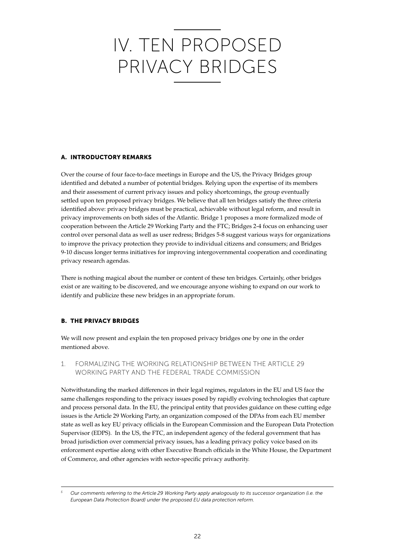# IV. TEN PROPOSED PRIVACY BRIDGES

#### A. Introductory Remarks

Over the course of four face-to-face meetings in Europe and the US, the Privacy Bridges group identified and debated a number of potential bridges. Relying upon the expertise of its members and their assessment of current privacy issues and policy shortcomings, the group eventually settled upon ten proposed privacy bridges. We believe that all ten bridges satisfy the three criteria identified above: privacy bridges must be practical, achievable without legal reform, and result in privacy improvements on both sides of the Atlantic. Bridge 1 proposes a more formalized mode of cooperation between the Article 29 Working Party and the FTC; Bridges 2-4 focus on enhancing user control over personal data as well as user redress; Bridges 5-8 suggest various ways for organizations to improve the privacy protection they provide to individual citizens and consumers; and Bridges 9-10 discuss longer terms initiatives for improving intergovernmental cooperation and coordinating privacy research agendas.

There is nothing magical about the number or content of these ten bridges. Certainly, other bridges exist or are waiting to be discovered, and we encourage anyone wishing to expand on our work to identify and publicize these new bridges in an appropriate forum.

#### B. The Privacy Bridges

We will now present and explain the ten proposed privacy bridges one by one in the order mentioned above.

1. Formalizing the Working Relationship Between the Article 29 Working Party and the Federal Trade Commission

Notwithstanding the marked differences in their legal regimes, regulators in the EU and US face the same challenges responding to the privacy issues posed by rapidly evolving technologies that capture and process personal data. In the EU, the principal entity that provides guidance on these cutting edge issues is the Article 29 Working Party, an organization composed of the DPAs from each EU member state as well as key EU privacy officials in the European Commission and the European Data Protection Supervisor (EDPS). In the US, the FTC, an independent agency of the federal government that has broad jurisdiction over commercial privacy issues, has a leading privacy policy voice based on its enforcement expertise along with other Executive Branch officials in the White House, the Department of Commerce, and other agencies with sector-specific privacy authority.

*<sup>5</sup> Our comments referring to the Article 29 Working Party apply analogously to its successor organization (i.e. the European Data Protection Board) under the proposed EU data protection reform.*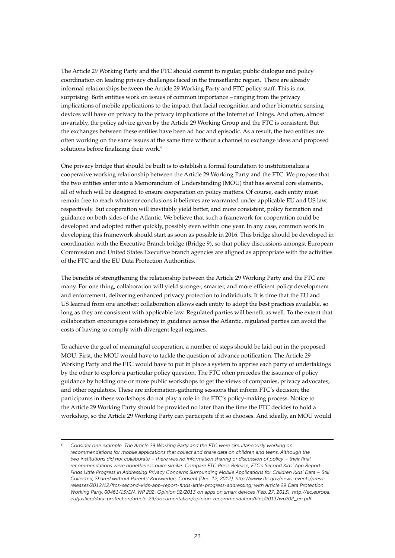The Article 29 Working Party and the FTC should commit to regular, public dialogue and policy coordination on leading privacy challenges faced in the transatlantic region. There are already informal relationships between the Article 29 Working Party and FTC policy staff. This is not surprising. Both entities work on issues of common importance – ranging from the privacy implications of mobile applications to the impact that facial recognition and other biometric sensing devices will have on privacy to the privacy implications of the Internet of Things. And often, almost invariably, the policy advice given by the Article 29 Working Group and the FTC is consistent. But the exchanges between these entities have been ad hoc and episodic. As a result, the two entities are often working on the same issues at the same time without a channel to exchange ideas and proposed solutions before finalizing their work.<sup>6</sup>

One privacy bridge that should be built is to establish a formal foundation to institutionalize a cooperative working relationship between the Article 29 Working Party and the FTC. We propose that the two entities enter into a Memorandum of Understanding (MOU) that has several core elements, all of which will be designed to ensure cooperation on policy matters. Of course, each entity must remain free to reach whatever conclusions it believes are warranted under applicable EU and US law, respectively. But cooperation will inevitably yield better, and more consistent, policy formation and guidance on both sides of the Atlantic. We believe that such a framework for cooperation could be developed and adopted rather quickly, possibly even within one year. In any case, common work in developing this framework should start as soon as possible in 2016. This bridge should be developed in coordination with the Executive Branch bridge (Bridge 9), so that policy discussions amongst European Commission and United States Executive branch agencies are aligned as appropriate with the activities of the FTC and the EU Data Protection Authorities.

The benefits of strengthening the relationship between the Article 29 Working Party and the FTC are many. For one thing, collaboration will yield stronger, smarter, and more efficient policy development and enforcement, delivering enhanced privacy protection to individuals. It is time that the EU and US learned from one another; collaboration allows each entity to adopt the best practices available, so long as they are consistent with applicable law. Regulated parties will benefit as well. To the extent that collaboration encourages consistency in guidance across the Atlantic, regulated parties can avoid the costs of having to comply with divergent legal regimes.

To achieve the goal of meaningful cooperation, a number of steps should be laid out in the proposed MOU. First, the MOU would have to tackle the question of advance notification. The Article 29 Working Party and the FTC would have to put in place a system to apprise each party of undertakings by the other to explore a particular policy question. The FTC often precedes the issuance of policy guidance by holding one or more public workshops to get the views of companies, privacy advocates, and other regulators. These are information-gathering sessions that inform FTC's decision; the participants in these workshops do not play a role in the FTC's policy-making process. Notice to the Article 29 Working Party should be provided no later than the time the FTC decides to hold a workshop, so the Article 29 Working Party can participate if it so chooses. And ideally, an MOU would

*<sup>6</sup> Consider one example. The Article 29 Working Party and the FTC were simultaneously working on recommendations for mobile applications that collect and share data on children and teens. Although the two institutions did not collaborate – there was no information sharing or discussion of policy – their final recommendations were nonetheless quite similar. Compare FTC Press Release, FTC's Second Kids' App Report Finds Little Progress in Addressing Privacy Concerns Surrounding Mobile Applications for Children Kids' Data – Still Collected, Shared without Parents' Knowledge, Consent (Dec. 12, 2012), http://www.ftc.gov/news-events/pressreleases/2012/12/ftcs-second-kids-app-report-finds-little-progress-addressing; with Article 29 Data Protection Working Party, 00461/13/EN, WP 202, Opinion 02/2013 on apps on smart devices (Feb. 27, 2013), http://ec.europa. eu/justice/data-protection/article-29/documentation/opinion-recommendation/files/2013/wp202\_en.pdf.*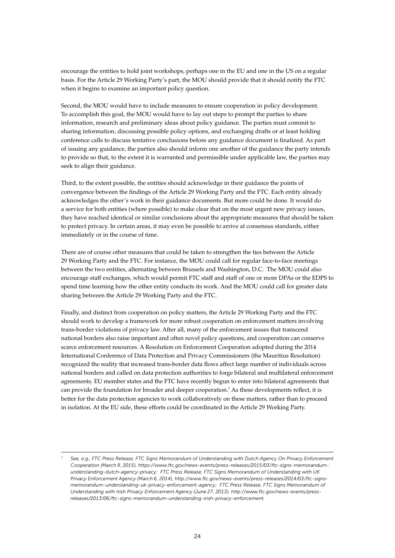encourage the entities to hold joint workshops, perhaps one in the EU and one in the US on a regular basis. For the Article 29 Working Party's part, the MOU should provide that it should notify the FTC when it begins to examine an important policy question.

Second, the MOU would have to include measures to ensure cooperation in policy development. To accomplish this goal, the MOU would have to lay out steps to prompt the parties to share information, research and preliminary ideas about policy guidance. The parties must commit to sharing information, discussing possible policy options, and exchanging drafts or at least holding conference calls to discuss tentative conclusions before any guidance document is finalized. As part of issuing any guidance, the parties also should inform one another of the guidance the party intends to provide so that, to the extent it is warranted and permissible under applicable law, the parties may seek to align their guidance.

Third, to the extent possible, the entities should acknowledge in their guidance the points of convergence between the findings of the Article 29 Working Party and the FTC. Each entity already acknowledges the other's work in their guidance documents. But more could be done. It would do a service for both entities (where possible) to make clear that on the most urgent new privacy issues, they have reached identical or similar conclusions about the appropriate measures that should be taken to protect privacy. In certain areas, it may even be possible to arrive at consensus standards, either immediately or in the course of time.

There are of course other measures that could be taken to strengthen the ties between the Article 29 Working Party and the FTC. For instance, the MOU could call for regular face-to-face meetings between the two entities, alternating between Brussels and Washington, D.C. The MOU could also encourage staff exchanges, which would permit FTC staff and staff of one or more DPAs or the EDPS to spend time learning how the other entity conducts its work. And the MOU could call for greater data sharing between the Article 29 Working Party and the FTC.

Finally, and distinct from cooperation on policy matters, the Article 29 Working Party and the FTC should work to develop a framework for more robust cooperation on enforcement matters involving trans-border violations of privacy law. After all, many of the enforcement issues that transcend national borders also raise important and often novel policy questions, and cooperation can conserve scarce enforcement resources. A Resolution on Enforcement Cooperation adopted during the 2014 International Conference of Data Protection and Privacy Commissioners (the Mauritius Resolution) recognized the reality that increased trans-border data flows affect large number of individuals across national borders and called on data protection authorities to forge bilateral and multilateral enforcement agreements. EU member states and the FTC have recently begun to enter into bilateral agreements that can provide the foundation for broader and deeper cooperation.7 As these developments reflect, it is better for the data protection agencies to work collaboratively on these matters, rather than to proceed in isolation. At the EU side, these efforts could be coordinated in the Article 29 Working Party.

*<sup>7</sup> See, e.g., FTC Press Release, FTC Signs Memorandum of Understanding with Dutch Agency On Privacy Enforcement Cooperation (March 9, 2015), https://www.ftc.gov/news-events/press-releases/2015/03/ftc-signs-memorandumunderstanding-dutch-agency-privacy; FTC Press Release, FTC Signs Memorandum of Understanding with UK Privacy Enforcement Agency (March 6, 2014), http://www.ftc.gov/news-events/press-releases/2014/03/ftc-signsmemorandum-understanding-uk-privacy-enforcement-agency; FTC Press Release, FTC Signs Memorandum of Understanding with Irish Privacy Enforcement Agency (June 27, 2013), http://www.ftc.gov/news-events/pressreleases/2013/06/ftc-signs-memorandum-understanding-irish-privacy-enforcement.*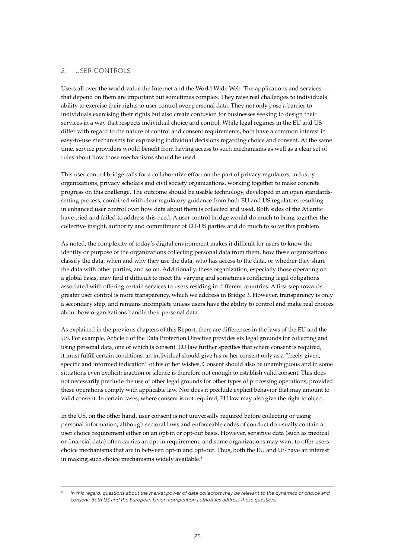#### 2. User Controls

Users all over the world value the Internet and the World Wide Web. The applications and services that depend on them are important but sometimes complex. They raise real challenges to individuals' ability to exercise their rights to user control over personal data. They not only pose a barrier to individuals exercising their rights but also create confusion for businesses seeking to design their services in a way that respects individual choice and control. While legal regimes in the EU and US differ with regard to the nature of control and consent requirements, both have a common interest in easy-to-use mechanisms for expressing individual decisions regarding choice and consent. At the same time, service providers would benefit from having access to such mechanisms as well as a clear set of rules about how those mechanisms should be used.

This user control bridge calls for a collaborative effort on the part of privacy regulators, industry organizations, privacy scholars and civil society organizations, working together to make concrete progress on this challenge. The outcome should be usable technology, developed in an open standardssetting process, combined with clear regulatory guidance from both EU and US regulators resulting in enhanced user control over how data about them is collected and used. Both sides of the Atlantic have tried and failed to address this need. A user control bridge would do much to bring together the collective insight, authority and commitment of EU-US parties and do much to solve this problem.

As noted, the complexity of today's digital environment makes it difficult for users to know the identity or purpose of the organizations collecting personal data from them, how these organizations classify the data, when and why they use the data, who has access to the data, or whether they share the data with other parties, and so on. Additionally, these organization, especially those operating on a global basis, may find it difficult to meet the varying and sometimes conflicting legal obligations associated with offering certain services to users residing in different countries. A first step towards greater user control is more transparency, which we address in Bridge 3. However, transparency is only a secondary step, and remains incomplete unless users have the ability to control and make real choices about how organizations handle their personal data.

As explained in the previous chapters of this Report, there are differences in the laws of the EU and the US. For example, Article 6 of the Data Protection Directive provides six legal grounds for collecting and using personal data, one of which is consent. EU law further specifies that where consent is required, it must fulfill certain conditions: an individual should give his or her consent only as a "freely given, specific and informed indication" of his or her wishes. Consent should also be unambiguous and in some situations even explicit; inaction or silence is therefore not enough to establish valid consent. This does not necessarily preclude the use of other legal grounds for other types of processing operations, provided these operations comply with applicable law. Nor does it preclude explicit behavior that may amount to valid consent. In certain cases, where consent is not required, EU law may also give the right to object.

In the US, on the other hand, user consent is not universally required before collecting or using personal information, although sectoral laws and enforceable codes of conduct do usually contain a user choice requirement either on an opt-in or opt-out basis. However, sensitive data (such as medical or financial data) often carries an opt-in requirement, and some organizations may want to offer users choice mechanisms that are in between opt-in and opt-out. Thus, both the EU and US have an interest in making such choice mechanisms widely available.<sup>8</sup>

*<sup>8</sup> In this regard, questions about the market power of data collectors may be relevant to the dynamics of choice and consent. Both US and the European Union competition authorities address these questions.*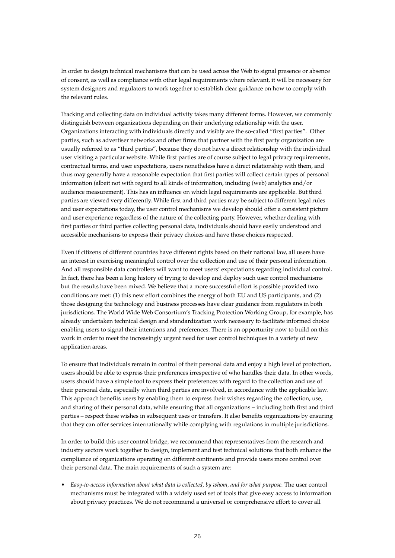In order to design technical mechanisms that can be used across the Web to signal presence or absence of consent, as well as compliance with other legal requirements where relevant, it will be necessary for system designers and regulators to work together to establish clear guidance on how to comply with the relevant rules.

Tracking and collecting data on individual activity takes many different forms. However, we commonly distinguish between organizations depending on their underlying relationship with the user. Organizations interacting with individuals directly and visibly are the so-called "first parties". Other parties, such as advertiser networks and other firms that partner with the first party organization are usually referred to as "third parties", because they do not have a direct relationship with the individual user visiting a particular website. While first parties are of course subject to legal privacy requirements, contractual terms, and user expectations, users nonetheless have a direct relationship with them, and thus may generally have a reasonable expectation that first parties will collect certain types of personal information (albeit not with regard to all kinds of information, including (web) analytics and/or audience measurement). This has an influence on which legal requirements are applicable. But third parties are viewed very differently. While first and third parties may be subject to different legal rules and user expectations today, the user control mechanisms we develop should offer a consistent picture and user experience regardless of the nature of the collecting party. However, whether dealing with first parties or third parties collecting personal data, individuals should have easily understood and accessible mechanisms to express their privacy choices and have those choices respected.

Even if citizens of different countries have different rights based on their national law, all users have an interest in exercising meaningful control over the collection and use of their personal information. And all responsible data controllers will want to meet users' expectations regarding individual control. In fact, there has been a long history of trying to develop and deploy such user control mechanisms but the results have been mixed. We believe that a more successful effort is possible provided two conditions are met: (1) this new effort combines the energy of both EU and US participants, and (2) those designing the technology and business processes have clear guidance from regulators in both jurisdictions. The World Wide Web Consortium's Tracking Protection Working Group, for example, has already undertaken technical design and standardization work necessary to facilitate informed choice enabling users to signal their intentions and preferences. There is an opportunity now to build on this work in order to meet the increasingly urgent need for user control techniques in a variety of new application areas.

To ensure that individuals remain in control of their personal data and enjoy a high level of protection, users should be able to express their preferences irrespective of who handles their data. In other words, users should have a simple tool to express their preferences with regard to the collection and use of their personal data, especially when third parties are involved, in accordance with the applicable law. This approach benefits users by enabling them to express their wishes regarding the collection, use, and sharing of their personal data, while ensuring that all organizations – including both first and third parties – respect these wishes in subsequent uses or transfers. It also benefits organizations by ensuring that they can offer services internationally while complying with regulations in multiple jurisdictions.

In order to build this user control bridge, we recommend that representatives from the research and industry sectors work together to design, implement and test technical solutions that both enhance the compliance of organizations operating on different continents and provide users more control over their personal data. The main requirements of such a system are:

• *Easy-to-access information about what data is collected, by whom, and for what purpose.* The user control mechanisms must be integrated with a widely used set of tools that give easy access to information about privacy practices. We do not recommend a universal or comprehensive effort to cover all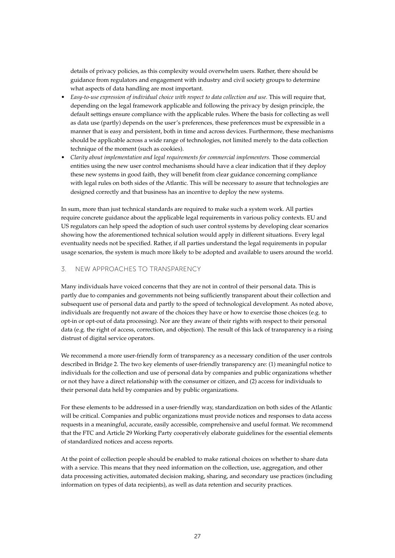details of privacy policies, as this complexity would overwhelm users. Rather, there should be guidance from regulators and engagement with industry and civil society groups to determine what aspects of data handling are most important.

- Easy-to-use expression of individual choice with respect to data collection and use. This will require that, depending on the legal framework applicable and following the privacy by design principle, the default settings ensure compliance with the applicable rules. Where the basis for collecting as well as data use (partly) depends on the user's preferences, these preferences must be expressible in a manner that is easy and persistent, both in time and across devices. Furthermore, these mechanisms should be applicable across a wide range of technologies, not limited merely to the data collection technique of the moment (such as cookies).
- • *Clarity about implementation and legal requirements for commercial implementers.* Those commercial entities using the new user control mechanisms should have a clear indication that if they deploy these new systems in good faith, they will benefit from clear guidance concerning compliance with legal rules on both sides of the Atlantic. This will be necessary to assure that technologies are designed correctly and that business has an incentive to deploy the new systems.

In sum, more than just technical standards are required to make such a system work. All parties require concrete guidance about the applicable legal requirements in various policy contexts. EU and US regulators can help speed the adoption of such user control systems by developing clear scenarios showing how the aforementioned technical solution would apply in different situations. Every legal eventuality needs not be specified. Rather, if all parties understand the legal requirements in popular usage scenarios, the system is much more likely to be adopted and available to users around the world.

#### 3. New Approaches to Transparency

Many individuals have voiced concerns that they are not in control of their personal data. This is partly due to companies and governments not being sufficiently transparent about their collection and subsequent use of personal data and partly to the speed of technological development. As noted above, individuals are frequently not aware of the choices they have or how to exercise those choices (e.g. to opt-in or opt-out of data processing). Nor are they aware of their rights with respect to their personal data (e.g. the right of access, correction, and objection). The result of this lack of transparency is a rising distrust of digital service operators.

We recommend a more user-friendly form of transparency as a necessary condition of the user controls described in Bridge 2. The two key elements of user-friendly transparency are: (1) meaningful notice to individuals for the collection and use of personal data by companies and public organizations whether or not they have a direct relationship with the consumer or citizen, and (2) access for individuals to their personal data held by companies and by public organizations.

For these elements to be addressed in a user-friendly way, standardization on both sides of the Atlantic will be critical. Companies and public organizations must provide notices and responses to data access requests in a meaningful, accurate, easily accessible, comprehensive and useful format. We recommend that the FTC and Article 29 Working Party cooperatively elaborate guidelines for the essential elements of standardized notices and access reports.

At the point of collection people should be enabled to make rational choices on whether to share data with a service. This means that they need information on the collection, use, aggregation, and other data processing activities, automated decision making, sharing, and secondary use practices (including information on types of data recipients), as well as data retention and security practices.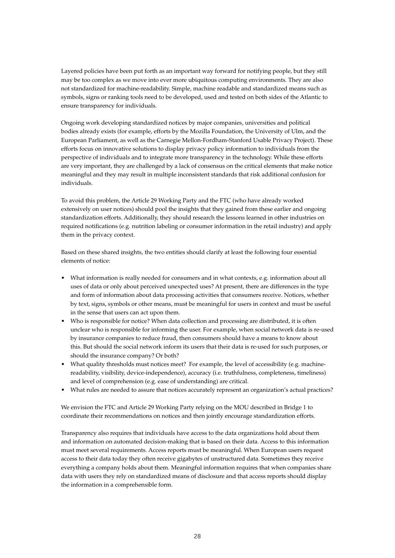Layered policies have been put forth as an important way forward for notifying people, but they still may be too complex as we move into ever more ubiquitous computing environments. They are also not standardized for machine-readability. Simple, machine readable and standardized means such as symbols, signs or ranking tools need to be developed, used and tested on both sides of the Atlantic to ensure transparency for individuals.

Ongoing work developing standardized notices by major companies, universities and political bodies already exists (for example, efforts by the Mozilla Foundation, the University of Ulm, and the European Parliament, as well as the Carnegie Mellon-Fordham-Stanford Usable Privacy Project). These efforts focus on innovative solutions to display privacy policy information to individuals from the perspective of individuals and to integrate more transparency in the technology. While these efforts are very important, they are challenged by a lack of consensus on the critical elements that make notice meaningful and they may result in multiple inconsistent standards that risk additional confusion for individuals.

To avoid this problem, the Article 29 Working Party and the FTC (who have already worked extensively on user notices) should pool the insights that they gained from these earlier and ongoing standardization efforts. Additionally, they should research the lessons learned in other industries on required notifications (e.g. nutrition labeling or consumer information in the retail industry) and apply them in the privacy context.

Based on these shared insights, the two entities should clarify at least the following four essential elements of notice:

- What information is really needed for consumers and in what contexts, e.g. information about all uses of data or only about perceived unexpected uses? At present, there are differences in the type and form of information about data processing activities that consumers receive. Notices, whether by text, signs, symbols or other means, must be meaningful for users in context and must be useful in the sense that users can act upon them.
- Who is responsible for notice? When data collection and processing are distributed, it is often unclear who is responsible for informing the user. For example, when social network data is re-used by insurance companies to reduce fraud, then consumers should have a means to know about this. But should the social network inform its users that their data is re-used for such purposes, or should the insurance company? Or both?
- What quality thresholds must notices meet? For example, the level of accessibility (e.g. machinereadability, visibility, device-independence), accuracy (i.e. truthfulness, completeness, timeliness) and level of comprehension (e.g. ease of understanding) are critical.
- What rules are needed to assure that notices accurately represent an organization's actual practices?

We envision the FTC and Article 29 Working Party relying on the MOU described in Bridge 1 to coordinate their recommendations on notices and then jointly encourage standardization efforts.

Transparency also requires that individuals have access to the data organizations hold about them and information on automated decision-making that is based on their data. Access to this information must meet several requirements. Access reports must be meaningful. When European users request access to their data today they often receive gigabytes of unstructured data. Sometimes they receive everything a company holds about them. Meaningful information requires that when companies share data with users they rely on standardized means of disclosure and that access reports should display the information in a comprehensible form.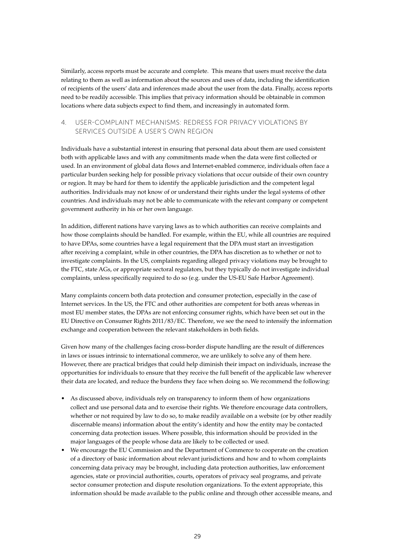Similarly, access reports must be accurate and complete. This means that users must receive the data relating to them as well as information about the sources and uses of data, including the identification of recipients of the users' data and inferences made about the user from the data. Finally, access reports need to be readily accessible. This implies that privacy information should be obtainable in common locations where data subjects expect to find them, and increasingly in automated form.

#### 4. User-Complaint Mechanisms: Redress for Privacy Violations by Services Outside a User's Own Region

Individuals have a substantial interest in ensuring that personal data about them are used consistent both with applicable laws and with any commitments made when the data were first collected or used. In an environment of global data flows and Internet-enabled commerce, individuals often face a particular burden seeking help for possible privacy violations that occur outside of their own country or region. It may be hard for them to identify the applicable jurisdiction and the competent legal authorities. Individuals may not know of or understand their rights under the legal systems of other countries. And individuals may not be able to communicate with the relevant company or competent government authority in his or her own language.

In addition, different nations have varying laws as to which authorities can receive complaints and how those complaints should be handled. For example, within the EU, while all countries are required to have DPAs, some countries have a legal requirement that the DPA must start an investigation after receiving a complaint, while in other countries, the DPA has discretion as to whether or not to investigate complaints. In the US, complaints regarding alleged privacy violations may be brought to the FTC, state AGs, or appropriate sectoral regulators, but they typically do not investigate individual complaints, unless specifically required to do so (e.g. under the US-EU Safe Harbor Agreement).

Many complaints concern both data protection and consumer protection, especially in the case of Internet services. In the US, the FTC and other authorities are competent for both areas whereas in most EU member states, the DPAs are not enforcing consumer rights, which have been set out in the EU Directive on Consumer Rights 2011/83/EC. Therefore, we see the need to intensify the information exchange and cooperation between the relevant stakeholders in both fields.

Given how many of the challenges facing cross-border dispute handling are the result of differences in laws or issues intrinsic to international commerce, we are unlikely to solve any of them here. However, there are practical bridges that could help diminish their impact on individuals, increase the opportunities for individuals to ensure that they receive the full benefit of the applicable law wherever their data are located, and reduce the burdens they face when doing so. We recommend the following:

- • As discussed above, individuals rely on transparency to inform them of how organizations collect and use personal data and to exercise their rights. We therefore encourage data controllers, whether or not required by law to do so, to make readily available on a website (or by other readily discernable means) information about the entity's identity and how the entity may be contacted concerning data protection issues. Where possible, this information should be provided in the major languages of the people whose data are likely to be collected or used.
- We encourage the EU Commission and the Department of Commerce to cooperate on the creation of a directory of basic information about relevant jurisdictions and how and to whom complaints concerning data privacy may be brought, including data protection authorities, law enforcement agencies, state or provincial authorities, courts, operators of privacy seal programs, and private sector consumer protection and dispute resolution organizations. To the extent appropriate, this information should be made available to the public online and through other accessible means, and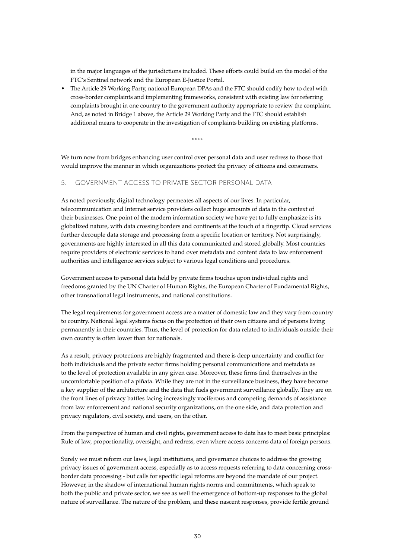in the major languages of the jurisdictions included. These efforts could build on the model of the FTC's Sentinel network and the European E-Justice Portal.

The Article 29 Working Party, national European DPAs and the FTC should codify how to deal with cross-border complaints and implementing frameworks, consistent with existing law for referring complaints brought in one country to the government authority appropriate to review the complaint. And, as noted in Bridge 1 above, the Article 29 Working Party and the FTC should establish additional means to cooperate in the investigation of complaints building on existing platforms.

\*\*\*\*

We turn now from bridges enhancing user control over personal data and user redress to those that would improve the manner in which organizations protect the privacy of citizens and consumers.

#### 5. Government Access to Private Sector Personal Data

As noted previously, digital technology permeates all aspects of our lives. In particular, telecommunication and Internet service providers collect huge amounts of data in the context of their businesses. One point of the modern information society we have yet to fully emphasize is its globalized nature, with data crossing borders and continents at the touch of a fingertip. Cloud services further decouple data storage and processing from a specific location or territory. Not surprisingly, governments are highly interested in all this data communicated and stored globally. Most countries require providers of electronic services to hand over metadata and content data to law enforcement authorities and intelligence services subject to various legal conditions and procedures.

Government access to personal data held by private firms touches upon individual rights and freedoms granted by the UN Charter of Human Rights, the European Charter of Fundamental Rights, other transnational legal instruments, and national constitutions.

The legal requirements for government access are a matter of domestic law and they vary from country to country. National legal systems focus on the protection of their own citizens and of persons living permanently in their countries. Thus, the level of protection for data related to individuals outside their own country is often lower than for nationals.

As a result, privacy protections are highly fragmented and there is deep uncertainty and conflict for both individuals and the private sector firms holding personal communications and metadata as to the level of protection available in any given case. Moreover, these firms find themselves in the uncomfortable position of a piñata. While they are not in the surveillance business, they have become a key supplier of the architecture and the data that fuels government surveillance globally. They are on the front lines of privacy battles facing increasingly vociferous and competing demands of assistance from law enforcement and national security organizations, on the one side, and data protection and privacy regulators, civil society, and users, on the other.

From the perspective of human and civil rights, government access to data has to meet basic principles: Rule of law, proportionality, oversight, and redress, even where access concerns data of foreign persons.

Surely we must reform our laws, legal institutions, and governance choices to address the growing privacy issues of government access, especially as to access requests referring to data concerning crossborder data processing - but calls for specific legal reforms are beyond the mandate of our project. However, in the shadow of international human rights norms and commitments, which speak to both the public and private sector, we see as well the emergence of bottom-up responses to the global nature of surveillance. The nature of the problem, and these nascent responses, provide fertile ground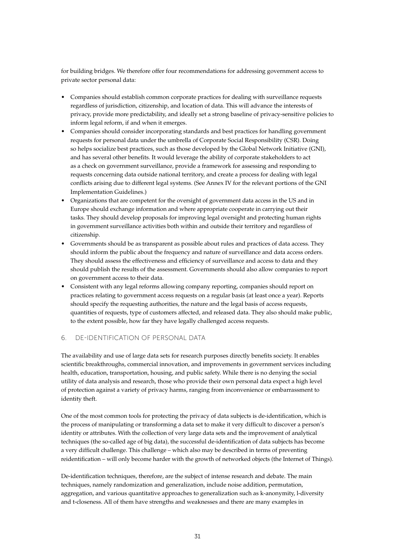for building bridges. We therefore offer four recommendations for addressing government access to private sector personal data:

- Companies should establish common corporate practices for dealing with surveillance requests regardless of jurisdiction, citizenship, and location of data. This will advance the interests of privacy, provide more predictability, and ideally set a strong baseline of privacy-sensitive policies to inform legal reform, if and when it emerges.
- Companies should consider incorporating standards and best practices for handling government requests for personal data under the umbrella of Corporate Social Responsibility (CSR). Doing so helps socialize best practices, such as those developed by the Global Network Initiative (GNI), and has several other benefits. It would leverage the ability of corporate stakeholders to act as a check on government surveillance, provide a framework for assessing and responding to requests concerning data outside national territory, and create a process for dealing with legal conflicts arising due to different legal systems. (See Annex IV for the relevant portions of the GNI Implementation Guidelines.)
- • Organizations that are competent for the oversight of government data access in the US and in Europe should exchange information and where appropriate cooperate in carrying out their tasks. They should develop proposals for improving legal oversight and protecting human rights in government surveillance activities both within and outside their territory and regardless of citizenship.
- Governments should be as transparent as possible about rules and practices of data access. They should inform the public about the frequency and nature of surveillance and data access orders. They should assess the effectiveness and efficiency of surveillance and access to data and they should publish the results of the assessment. Governments should also allow companies to report on government access to their data.
- Consistent with any legal reforms allowing company reporting, companies should report on practices relating to government access requests on a regular basis (at least once a year). Reports should specify the requesting authorities, the nature and the legal basis of access requests, quantities of requests, type of customers affected, and released data. They also should make public, to the extent possible, how far they have legally challenged access requests.

#### 6. De-identification of Personal Data

The availability and use of large data sets for research purposes directly benefits society. It enables scientific breakthroughs, commercial innovation, and improvements in government services including health, education, transportation, housing, and public safety. While there is no denying the social utility of data analysis and research, those who provide their own personal data expect a high level of protection against a variety of privacy harms, ranging from inconvenience or embarrassment to identity theft.

One of the most common tools for protecting the privacy of data subjects is de-identification, which is the process of manipulating or transforming a data set to make it very difficult to discover a person's identity or attributes. With the collection of very large data sets and the improvement of analytical techniques (the so-called age of big data), the successful de-identification of data subjects has become a very difficult challenge. This challenge – which also may be described in terms of preventing reidentification – will only become harder with the growth of networked objects (the Internet of Things).

De-identification techniques, therefore, are the subject of intense research and debate. The main techniques, namely randomization and generalization, include noise addition, permutation, aggregation, and various quantitative approaches to generalization such as k-anonymity, l-diversity and t-closeness. All of them have strengths and weaknesses and there are many examples in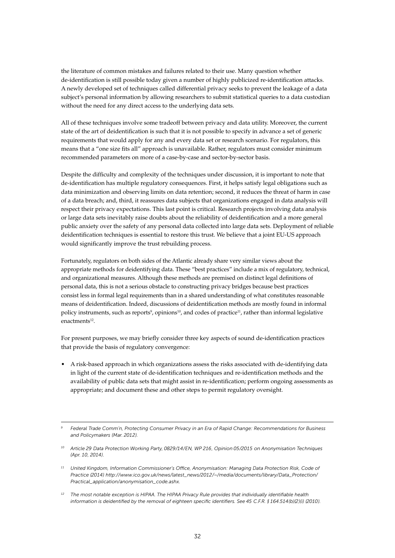the literature of common mistakes and failures related to their use. Many question whether de-identification is still possible today given a number of highly publicized re-identification attacks. A newly developed set of techniques called differential privacy seeks to prevent the leakage of a data subject's personal information by allowing researchers to submit statistical queries to a data custodian without the need for any direct access to the underlying data sets.

All of these techniques involve some tradeoff between privacy and data utility. Moreover, the current state of the art of deidentification is such that it is not possible to specify in advance a set of generic requirements that would apply for any and every data set or research scenario. For regulators, this means that a "one size fits all" approach is unavailable. Rather, regulators must consider minimum recommended parameters on more of a case-by-case and sector-by-sector basis.

Despite the difficulty and complexity of the techniques under discussion, it is important to note that de-identification has multiple regulatory consequences. First, it helps satisfy legal obligations such as data minimization and observing limits on data retention; second, it reduces the threat of harm in case of a data breach; and, third, it reassures data subjects that organizations engaged in data analysis will respect their privacy expectations. This last point is critical. Research projects involving data analysis or large data sets inevitably raise doubts about the reliability of deidentification and a more general public anxiety over the safety of any personal data collected into large data sets. Deployment of reliable deidentification techniques is essential to restore this trust. We believe that a joint EU-US approach would significantly improve the trust rebuilding process.

Fortunately, regulators on both sides of the Atlantic already share very similar views about the appropriate methods for deidentifying data. These "best practices" include a mix of regulatory, technical, and organizational measures. Although these methods are premised on distinct legal definitions of personal data, this is not a serious obstacle to constructing privacy bridges because best practices consist less in formal legal requirements than in a shared understanding of what constitutes reasonable means of deidentification. Indeed, discussions of deidentification methods are mostly found in informal policy instruments, such as reports<sup>9</sup>, opinions<sup>10</sup>, and codes of practice<sup>11</sup>, rather than informal legislative enactments<sup>12</sup>.

For present purposes, we may briefly consider three key aspects of sound de-identification practices that provide the basis of regulatory convergence:

• A risk-based approach in which organizations assess the risks associated with de-identifying data in light of the current state of de-identification techniques and re-identification methods and the availability of public data sets that might assist in re-identification; perform ongoing assessments as appropriate; and document these and other steps to permit regulatory oversight.

*<sup>9</sup> Federal Trade Comm'n, Protecting Consumer Privacy in an Era of Rapid Change: Recommendations for Business and Policymakers (Mar. 2012).* 

*<sup>10</sup> Article 29 Data Protection Working Party, 0829/14/EN, WP 216, Opinion 05/2015 on Anonymisation Techniques (Apr. 10, 2014).*

*<sup>11</sup> United Kingdom, Information Commissioner's Office, Anonymisation: Managing Data Protection Risk, Code of Practice (2014) http://www.ico.gov.uk/news/latest\_news/2012/~/media/documents/library/Data\_Protection/ Practical\_application/anonymisation\_code.ashx.* 

*<sup>12</sup> The most notable exception is HIPAA. The HIPAA Privacy Rule provides that individually identifiable health information is deidentified by the removal of eighteen specific identifiers. See 45 C.F.R. § 164.514(b)(2)(i) (2010).*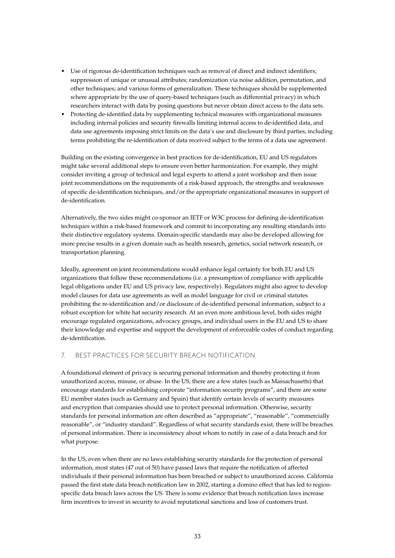- Use of rigorous de-identification techniques such as removal of direct and indirect identifiers; suppression of unique or unusual attributes; randomization via noise addition, permutation, and other techniques; and various forms of generalization. These techniques should be supplemented where appropriate by the use of query-based techniques (such as differential privacy) in which researchers interact with data by posing questions but never obtain direct access to the data sets.
- Protecting de-identified data by supplementing technical measures with organizational measures including internal policies and security firewalls limiting internal access to de-identified data, and data use agreements imposing strict limits on the data's use and disclosure by third parties, including terms prohibiting the re-identification of data received subject to the terms of a data use agreement.

Building on the existing convergence in best practices for de-identification, EU and US regulators might take several additional steps to ensure even better harmonization. For example, they might consider inviting a group of technical and legal experts to attend a joint workshop and then issue joint recommendations on the requirements of a risk-based approach, the strengths and weaknesses of specific de-identification techniques, and/or the appropriate organizational measures in support of de-identification.

Alternatively, the two sides might co-sponsor an IETF or W3C process for defining de-identification techniques within a risk-based framework and commit to incorporating any resulting standards into their distinctive regulatory systems. Domain-specific standards may also be developed allowing for more precise results in a given domain such as health research, genetics, social network research, or transportation planning.

Ideally, agreement on joint recommendations would enhance legal certainty for both EU and US organizations that follow these recommendations (i.e. a presumption of compliance with applicable legal obligations under EU and US privacy law, respectively). Regulators might also agree to develop model clauses for data use agreements as well as model language for civil or criminal statutes prohibiting the re-identification and/or disclosure of de-identified personal information, subject to a robust exception for white hat security research. At an even more ambitious level, both sides might encourage regulated organizations, advocacy groups, and individual users in the EU and US to share their knowledge and expertise and support the development of enforceable codes of conduct regarding de-identification.

#### 7. Best Practices for Security Breach Notification

A foundational element of privacy is securing personal information and thereby protecting it from unauthorized access, misuse, or abuse. In the US, there are a few states (such as Massachusetts) that encourage standards for establishing corporate "information security programs", and there are some EU member states (such as Germany and Spain) that identify certain levels of security measures and encryption that companies should use to protect personal information. Otherwise, security standards for personal information are often described as "appropriate", "reasonable", "commercially reasonable", or "industry standard". Regardless of what security standards exist, there will be breaches of personal information. There is inconsistency about whom to notify in case of a data breach and for what purpose.

In the US, even when there are no laws establishing security standards for the protection of personal information, most states (47 out of 50) have passed laws that require the notification of affected individuals if their personal information has been breached or subject to unauthorized access. California passed the first state data breach notification law in 2002, starting a domino effect that has led to regionspecific data breach laws across the US. There is some evidence that breach notification laws increase firm incentives to invest in security to avoid reputational sanctions and loss of customers trust.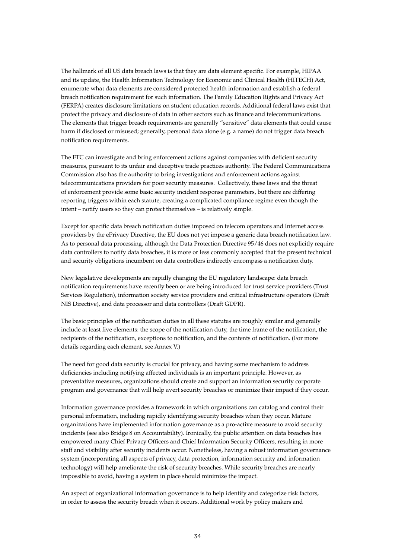The hallmark of all US data breach laws is that they are data element specific. For example, HIPAA and its update, the Health Information Technology for Economic and Clinical Health (HITECH) Act, enumerate what data elements are considered protected health information and establish a federal breach notification requirement for such information. The Family Education Rights and Privacy Act (FERPA) creates disclosure limitations on student education records. Additional federal laws exist that protect the privacy and disclosure of data in other sectors such as finance and telecommunications. The elements that trigger breach requirements are generally "sensitive" data elements that could cause harm if disclosed or misused; generally, personal data alone (e.g. a name) do not trigger data breach notification requirements.

The FTC can investigate and bring enforcement actions against companies with deficient security measures, pursuant to its unfair and deceptive trade practices authority. The Federal Communications Commission also has the authority to bring investigations and enforcement actions against telecommunications providers for poor security measures. Collectively, these laws and the threat of enforcement provide some basic security incident response parameters, but there are differing reporting triggers within each statute, creating a complicated compliance regime even though the intent – notify users so they can protect themselves – is relatively simple.

Except for specific data breach notification duties imposed on telecom operators and Internet access providers by the ePrivacy Directive, the EU does not yet impose a generic data breach notification law. As to personal data processing, although the Data Protection Directive 95/46 does not explicitly require data controllers to notify data breaches, it is more or less commonly accepted that the present technical and security obligations incumbent on data controllers indirectly encompass a notification duty.

New legislative developments are rapidly changing the EU regulatory landscape: data breach notification requirements have recently been or are being introduced for trust service providers (Trust Services Regulation), information society service providers and critical infrastructure operators (Draft NIS Directive), and data processor and data controllers (Draft GDPR).

The basic principles of the notification duties in all these statutes are roughly similar and generally include at least five elements: the scope of the notification duty, the time frame of the notification, the recipients of the notification, exceptions to notification, and the contents of notification. (For more details regarding each element, see Annex V.)

The need for good data security is crucial for privacy, and having some mechanism to address deficiencies including notifying affected individuals is an important principle. However, as preventative measures, organizations should create and support an information security corporate program and governance that will help avert security breaches or minimize their impact if they occur.

Information governance provides a framework in which organizations can catalog and control their personal information, including rapidly identifying security breaches when they occur. Mature organizations have implemented information governance as a pro-active measure to avoid security incidents (see also Bridge 8 on Accountability). Ironically, the public attention on data breaches has empowered many Chief Privacy Officers and Chief Information Security Officers, resulting in more staff and visibility after security incidents occur. Nonetheless, having a robust information governance system (incorporating all aspects of privacy, data protection, information security and information technology) will help ameliorate the risk of security breaches. While security breaches are nearly impossible to avoid, having a system in place should minimize the impact.

An aspect of organizational information governance is to help identify and categorize risk factors, in order to assess the security breach when it occurs. Additional work by policy makers and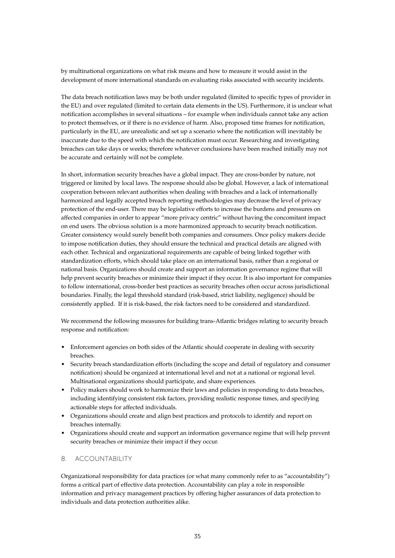by multinational organizations on what risk means and how to measure it would assist in the development of more international standards on evaluating risks associated with security incidents.

The data breach notification laws may be both under regulated (limited to specific types of provider in the EU) and over regulated (limited to certain data elements in the US). Furthermore, it is unclear what notification accomplishes in several situations – for example when individuals cannot take any action to protect themselves, or if there is no evidence of harm. Also, proposed time frames for notification, particularly in the EU, are unrealistic and set up a scenario where the notification will inevitably be inaccurate due to the speed with which the notification must occur. Researching and investigating breaches can take days or weeks; therefore whatever conclusions have been reached initially may not be accurate and certainly will not be complete.

In short, information security breaches have a global impact. They are cross-border by nature, not triggered or limited by local laws. The response should also be global. However, a lack of international cooperation between relevant authorities when dealing with breaches and a lack of internationally harmonized and legally accepted breach reporting methodologies may decrease the level of privacy protection of the end-user. There may be legislative efforts to increase the burdens and pressures on affected companies in order to appear "more privacy centric" without having the concomitant impact on end users. The obvious solution is a more harmonized approach to security breach notification. Greater consistency would surely benefit both companies and consumers. Once policy makers decide to impose notification duties, they should ensure the technical and practical details are aligned with each other. Technical and organizational requirements are capable of being linked together with standardization efforts, which should take place on an international basis, rather than a regional or national basis. Organizations should create and support an information governance regime that will help prevent security breaches or minimize their impact if they occur. It is also important for companies to follow international, cross-border best practices as security breaches often occur across jurisdictional boundaries. Finally, the legal threshold standard (risk-based, strict liability, negligence) should be consistently applied. If it is risk-based, the risk factors need to be considered and standardized.

We recommend the following measures for building trans-Atlantic bridges relating to security breach response and notification:

- Enforcement agencies on both sides of the Atlantic should cooperate in dealing with security breaches.
- • Security breach standardization efforts (including the scope and detail of regulatory and consumer notification) should be organized at international level and not at a national or regional level. Multinational organizations should participate, and share experiences.
- Policy makers should work to harmonize their laws and policies in responding to data breaches, including identifying consistent risk factors, providing realistic response times, and specifying actionable steps for affected individuals.
- Organizations should create and align best practices and protocols to identify and report on breaches internally.
- • Organizations should create and support an information governance regime that will help prevent security breaches or minimize their impact if they occur.

#### 8. Accountability

Organizational responsibility for data practices (or what many commonly refer to as "accountability") forms a critical part of effective data protection. Accountability can play a role in responsible information and privacy management practices by offering higher assurances of data protection to individuals and data protection authorities alike.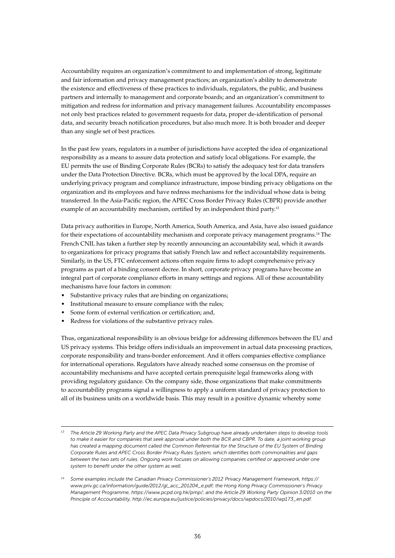Accountability requires an organization's commitment to and implementation of strong, legitimate and fair information and privacy management practices; an organization's ability to demonstrate the existence and effectiveness of these practices to individuals, regulators, the public, and business partners and internally to management and corporate boards; and an organization's commitment to mitigation and redress for information and privacy management failures. Accountability encompasses not only best practices related to government requests for data, proper de-identification of personal data, and security breach notification procedures, but also much more. It is both broader and deeper than any single set of best practices.

In the past few years, regulators in a number of jurisdictions have accepted the idea of organizational responsibility as a means to assure data protection and satisfy local obligations. For example, the EU permits the use of Binding Corporate Rules (BCRs) to satisfy the adequacy test for data transfers under the Data Protection Directive. BCRs, which must be approved by the local DPA, require an underlying privacy program and compliance infrastructure, impose binding privacy obligations on the organization and its employees and have redress mechanisms for the individual whose data is being transferred. In the Asia-Pacific region, the APEC Cross Border Privacy Rules (CBPR) provide another example of an accountability mechanism, certified by an independent third party.<sup>13</sup>

Data privacy authorities in Europe, North America, South America, and Asia, have also issued guidance for their expectations of accountability mechanism and corporate privacy management programs.14 The French CNIL has taken a further step by recently announcing an accountability seal, which it awards to organizations for privacy programs that satisfy French law and reflect accountability requirements. Similarly, in the US, FTC enforcement actions often require firms to adopt comprehensive privacy programs as part of a binding consent decree. In short, corporate privacy programs have become an integral part of corporate compliance efforts in many settings and regions. All of these accountability mechanisms have four factors in common:

- Substantive privacy rules that are binding on organizations;
- Institutional measure to ensure compliance with the rules;
- Some form of external verification or certification; and,
- Redress for violations of the substantive privacy rules.

Thus, organizational responsibility is an obvious bridge for addressing differences between the EU and US privacy systems. This bridge offers individuals an improvement in actual data processing practices, corporate responsibility and trans-border enforcement. And it offers companies effective compliance for international operations. Regulators have already reached some consensus on the promise of accountability mechanisms and have accepted certain prerequisite legal frameworks along with providing regulatory guidance. On the company side, those organizations that make commitments to accountability programs signal a willingness to apply a uniform standard of privacy protection to all of its business units on a worldwide basis. This may result in a positive dynamic whereby some

*<sup>13</sup> The Article 29 Working Party and the APEC Data Privacy Subgroup have already undertaken steps to develop tools*  to make it easier for companies that seek approval under both the BCR and CBPR. To date, a joint working group *has created a mapping document called the Common Referential for the Structure of the EU System of Binding Corporate Rules and APEC Cross Border Privacy Rules System, which identifies both commonalities and gaps between the two sets of rules. Ongoing work focuses on allowing companies certified or approved under one system to benefit under the other system as well.*

*<sup>14</sup> Some examples include the Canadian Privacy Commissioner's 2012 Privacy Management Framework, https:// www.priv.gc.ca/information/guide/2012/gl\_acc\_201204\_e.pdf; the Hong Kong Privacy Commissioner's Privacy Management Programme, https://www.pcpd.org.hk/pmp/; and the Article 29 Working Party Opinion 3/2010 on the Principle of Accountability, http://ec.europa.eu/justice/policies/privacy/docs/wpdocs/2010/wp173\_en.pdf.*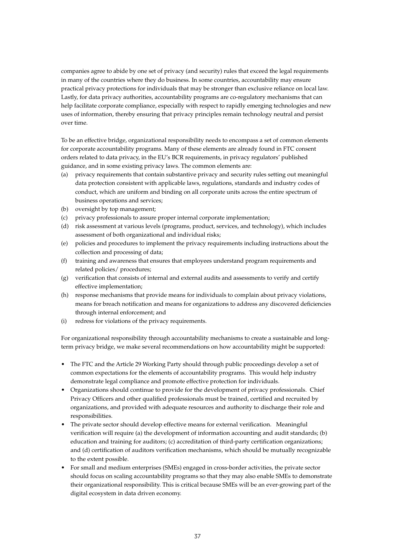companies agree to abide by one set of privacy (and security) rules that exceed the legal requirements in many of the countries where they do business. In some countries, accountability may ensure practical privacy protections for individuals that may be stronger than exclusive reliance on local law. Lastly, for data privacy authorities, accountability programs are co-regulatory mechanisms that can help facilitate corporate compliance, especially with respect to rapidly emerging technologies and new uses of information, thereby ensuring that privacy principles remain technology neutral and persist over time.

To be an effective bridge, organizational responsibility needs to encompass a set of common elements for corporate accountability programs. Many of these elements are already found in FTC consent orders related to data privacy, in the EU's BCR requirements, in privacy regulators' published guidance, and in some existing privacy laws. The common elements are:

- (a) privacy requirements that contain substantive privacy and security rules setting out meaningful data protection consistent with applicable laws, regulations, standards and industry codes of conduct, which are uniform and binding on all corporate units across the entire spectrum of business operations and services;
- (b) oversight by top management;
- (c) privacy professionals to assure proper internal corporate implementation;
- (d) risk assessment at various levels (programs, product, services, and technology), which includes assessment of both organizational and individual risks;
- (e) policies and procedures to implement the privacy requirements including instructions about the collection and processing of data;
- (f) training and awareness that ensures that employees understand program requirements and related policies/ procedures;
- (g) verification that consists of internal and external audits and assessments to verify and certify effective implementation;
- (h) response mechanisms that provide means for individuals to complain about privacy violations, means for breach notification and means for organizations to address any discovered deficiencies through internal enforcement; and
- (i) redress for violations of the privacy requirements.

For organizational responsibility through accountability mechanisms to create a sustainable and longterm privacy bridge, we make several recommendations on how accountability might be supported:

- The FTC and the Article 29 Working Party should through public proceedings develop a set of common expectations for the elements of accountability programs. This would help industry demonstrate legal compliance and promote effective protection for individuals.
- • Organizations should continue to provide for the development of privacy professionals. Chief Privacy Officers and other qualified professionals must be trained, certified and recruited by organizations, and provided with adequate resources and authority to discharge their role and responsibilities.
- The private sector should develop effective means for external verification. Meaningful verification will require (a) the development of information accounting and audit standards; (b) education and training for auditors; (c) accreditation of third-party certification organizations; and (d) certification of auditors verification mechanisms, which should be mutually recognizable to the extent possible.
- For small and medium enterprises (SMEs) engaged in cross-border activities, the private sector should focus on scaling accountability programs so that they may also enable SMEs to demonstrate their organizational responsibility. This is critical because SMEs will be an ever-growing part of the digital ecosystem in data driven economy.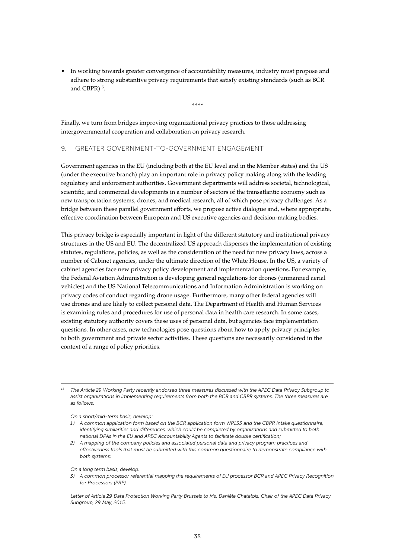• In working towards greater convergence of accountability measures, industry must propose and adhere to strong substantive privacy requirements that satisfy existing standards (such as BCR and CBPR)<sup>15</sup>.

\*\*\*\*

Finally, we turn from bridges improving organizational privacy practices to those addressing intergovernmental cooperation and collaboration on privacy research.

#### 9. Greater Government-to-Government Engagement

Government agencies in the EU (including both at the EU level and in the Member states) and the US (under the executive branch) play an important role in privacy policy making along with the leading regulatory and enforcement authorities. Government departments will address societal, technological, scientific, and commercial developments in a number of sectors of the transatlantic economy such as new transportation systems, drones, and medical research, all of which pose privacy challenges. As a bridge between these parallel government efforts, we propose active dialogue and, where appropriate, effective coordination between European and US executive agencies and decision-making bodies.

This privacy bridge is especially important in light of the different statutory and institutional privacy structures in the US and EU. The decentralized US approach disperses the implementation of existing statutes, regulations, policies, as well as the consideration of the need for new privacy laws, across a number of Cabinet agencies, under the ultimate direction of the White House. In the US, a variety of cabinet agencies face new privacy policy development and implementation questions. For example, the Federal Aviation Administration is developing general regulations for drones (unmanned aerial vehicles) and the US National Telecommunications and Information Administration is working on privacy codes of conduct regarding drone usage. Furthermore, many other federal agencies will use drones and are likely to collect personal data. The Department of Health and Human Services is examining rules and procedures for use of personal data in health care research. In some cases, existing statutory authority covers these uses of personal data, but agencies face implementation questions. In other cases, new technologies pose questions about how to apply privacy principles to both government and private sector activities. These questions are necessarily considered in the context of a range of policy priorities.

*<sup>15</sup> The Article 29 Working Party recently endorsed three measures discussed with the APEC Data Privacy Subgroup to assist organizations in implementing requirements from both the BCR and CBPR systems. The three measures are as follows:*

*On a short/mid-term basis, develop:* 

- *1) A common application form based on the BCR application form WP133 and the CBPR Intake questionnaire, identifying similarities and differences, which could be completed by organizations and submitted to both national DPAs in the EU and APEC Accountability Agents to facilitate double certification;*
- *2) A mapping of the company policies and associated personal data and privacy program practices and effectiveness tools that must be submitted with this common questionnaire to demonstrate compliance with both systems;*

*On a long term basis, develop:* 

*3) A common processor referential mapping the requirements of EU processor BCR and APEC Privacy Recognition for Processors (PRP).*

*Letter of Article 29 Data Protection Working Party Brussels to Ms. Danièle Chatelois, Chair of the APEC Data Privacy Subgroup, 29 May, 2015.*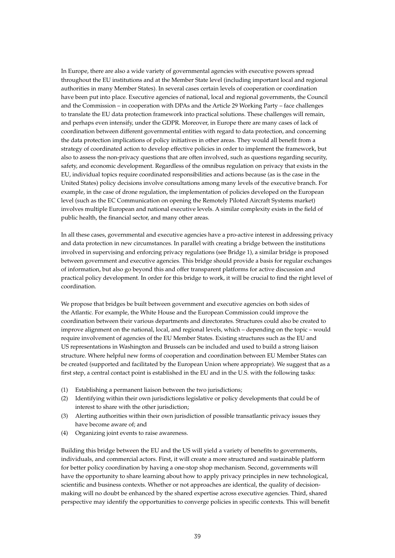In Europe, there are also a wide variety of governmental agencies with executive powers spread throughout the EU institutions and at the Member State level (including important local and regional authorities in many Member States). In several cases certain levels of cooperation or coordination have been put into place. Executive agencies of national, local and regional governments, the Council and the Commission – in cooperation with DPAs and the Article 29 Working Party – face challenges to translate the EU data protection framework into practical solutions. These challenges will remain, and perhaps even intensify, under the GDPR. Moreover, in Europe there are many cases of lack of coordination between different governmental entities with regard to data protection, and concerning the data protection implications of policy initiatives in other areas. They would all benefit from a strategy of coordinated action to develop effective policies in order to implement the framework, but also to assess the non-privacy questions that are often involved, such as questions regarding security, safety, and economic development. Regardless of the omnibus regulation on privacy that exists in the EU, individual topics require coordinated responsibilities and actions because (as is the case in the United States) policy decisions involve consultations among many levels of the executive branch. For example, in the case of drone regulation, the implementation of policies developed on the European level (such as the EC Communication on opening the Remotely Piloted Aircraft Systems market) involves multiple European and national executive levels. A similar complexity exists in the field of public health, the financial sector, and many other areas.

In all these cases, governmental and executive agencies have a pro-active interest in addressing privacy and data protection in new circumstances. In parallel with creating a bridge between the institutions involved in supervising and enforcing privacy regulations (see Bridge 1), a similar bridge is proposed between government and executive agencies. This bridge should provide a basis for regular exchanges of information, but also go beyond this and offer transparent platforms for active discussion and practical policy development. In order for this bridge to work, it will be crucial to find the right level of coordination.

We propose that bridges be built between government and executive agencies on both sides of the Atlantic. For example, the White House and the European Commission could improve the coordination between their various departments and directorates. Structures could also be created to improve alignment on the national, local, and regional levels, which – depending on the topic – would require involvement of agencies of the EU Member States. Existing structures such as the EU and US representations in Washington and Brussels can be included and used to build a strong liaison structure. Where helpful new forms of cooperation and coordination between EU Member States can be created (supported and facilitated by the European Union where appropriate). We suggest that as a first step, a central contact point is established in the EU and in the U.S. with the following tasks:

- (1) Establishing a permanent liaison between the two jurisdictions;
- (2) Identifying within their own jurisdictions legislative or policy developments that could be of interest to share with the other jurisdiction;
- (3) Alerting authorities within their own jurisdiction of possible transatlantic privacy issues they have become aware of; and
- (4) Organizing joint events to raise awareness.

Building this bridge between the EU and the US will yield a variety of benefits to governments, individuals, and commercial actors. First, it will create a more structured and sustainable platform for better policy coordination by having a one-stop shop mechanism. Second, governments will have the opportunity to share learning about how to apply privacy principles in new technological, scientific and business contexts. Whether or not approaches are identical, the quality of decisionmaking will no doubt be enhanced by the shared expertise across executive agencies. Third, shared perspective may identify the opportunities to converge policies in specific contexts. This will benefit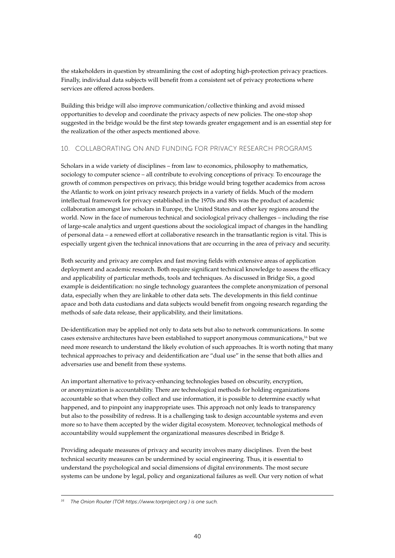the stakeholders in question by streamlining the cost of adopting high-protection privacy practices. Finally, individual data subjects will benefit from a consistent set of privacy protections where services are offered across borders.

Building this bridge will also improve communication/collective thinking and avoid missed opportunities to develop and coordinate the privacy aspects of new policies. The one-stop shop suggested in the bridge would be the first step towards greater engagement and is an essential step for the realization of the other aspects mentioned above.

#### 10. Collaborating on and Funding for Privacy Research Programs

Scholars in a wide variety of disciplines – from law to economics, philosophy to mathematics, sociology to computer science – all contribute to evolving conceptions of privacy. To encourage the growth of common perspectives on privacy, this bridge would bring together academics from across the Atlantic to work on joint privacy research projects in a variety of fields. Much of the modern intellectual framework for privacy established in the 1970s and 80s was the product of academic collaboration amongst law scholars in Europe, the United States and other key regions around the world. Now in the face of numerous technical and sociological privacy challenges – including the rise of large-scale analytics and urgent questions about the sociological impact of changes in the handling of personal data – a renewed effort at collaborative research in the transatlantic region is vital. This is especially urgent given the technical innovations that are occurring in the area of privacy and security.

Both security and privacy are complex and fast moving fields with extensive areas of application deployment and academic research. Both require significant technical knowledge to assess the efficacy and applicability of particular methods, tools and techniques. As discussed in Bridge Six, a good example is deidentification: no single technology guarantees the complete anonymization of personal data, especially when they are linkable to other data sets. The developments in this field continue apace and both data custodians and data subjects would benefit from ongoing research regarding the methods of safe data release, their applicability, and their limitations.

De-identification may be applied not only to data sets but also to network communications. In some cases extensive architectures have been established to support anonymous communications,16 but we need more research to understand the likely evolution of such approaches. It is worth noting that many technical approaches to privacy and deidentification are "dual use" in the sense that both allies and adversaries use and benefit from these systems.

An important alternative to privacy-enhancing technologies based on obscurity, encryption, or anonymization is accountability. There are technological methods for holding organizations accountable so that when they collect and use information, it is possible to determine exactly what happened, and to pinpoint any inappropriate uses. This approach not only leads to transparency but also to the possibility of redress. It is a challenging task to design accountable systems and even more so to have them accepted by the wider digital ecosystem. Moreover, technological methods of accountability would supplement the organizational measures described in Bridge 8.

Providing adequate measures of privacy and security involves many disciplines. Even the best technical security measures can be undermined by social engineering. Thus, it is essential to understand the psychological and social dimensions of digital environments. The most secure systems can be undone by legal, policy and organizational failures as well. Our very notion of what

*<sup>16</sup> The Onion Router (TOR https://www.torproject.org ) is one such.*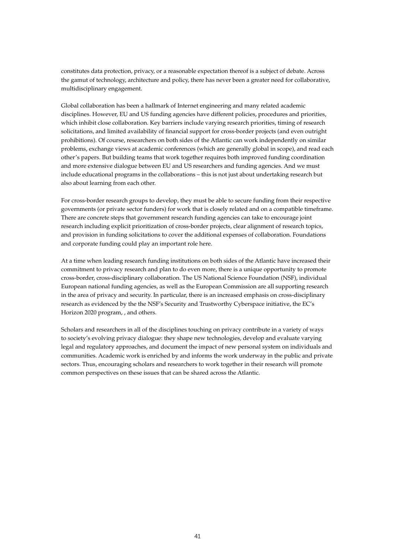constitutes data protection, privacy, or a reasonable expectation thereof is a subject of debate. Across the gamut of technology, architecture and policy, there has never been a greater need for collaborative, multidisciplinary engagement.

Global collaboration has been a hallmark of Internet engineering and many related academic disciplines. However, EU and US funding agencies have different policies, procedures and priorities, which inhibit close collaboration. Key barriers include varying research priorities, timing of research solicitations, and limited availability of financial support for cross-border projects (and even outright prohibitions). Of course, researchers on both sides of the Atlantic can work independently on similar problems, exchange views at academic conferences (which are generally global in scope), and read each other's papers. But building teams that work together requires both improved funding coordination and more extensive dialogue between EU and US researchers and funding agencies. And we must include educational programs in the collaborations – this is not just about undertaking research but also about learning from each other.

For cross-border research groups to develop, they must be able to secure funding from their respective governments (or private sector funders) for work that is closely related and on a compatible timeframe. There are concrete steps that government research funding agencies can take to encourage joint research including explicit prioritization of cross-border projects, clear alignment of research topics, and provision in funding solicitations to cover the additional expenses of collaboration. Foundations and corporate funding could play an important role here.

At a time when leading research funding institutions on both sides of the Atlantic have increased their commitment to privacy research and plan to do even more, there is a unique opportunity to promote cross-border, cross-disciplinary collaboration. The US National Science Foundation (NSF), individual European national funding agencies, as well as the European Commission are all supporting research in the area of privacy and security. In particular, there is an increased emphasis on cross-disciplinary research as evidenced by the the NSF's Security and Trustworthy Cyberspace initiative, the EC's Horizon 2020 program, , and others.

Scholars and researchers in all of the disciplines touching on privacy contribute in a variety of ways to society's evolving privacy dialogue: they shape new technologies, develop and evaluate varying legal and regulatory approaches, and document the impact of new personal system on individuals and communities. Academic work is enriched by and informs the work underway in the public and private sectors. Thus, encouraging scholars and researchers to work together in their research will promote common perspectives on these issues that can be shared across the Atlantic.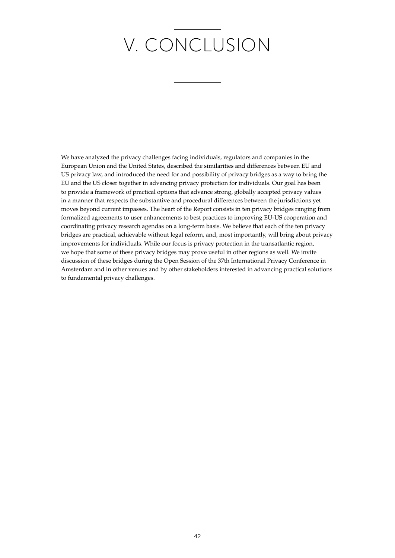# V. CONCLUSION

We have analyzed the privacy challenges facing individuals, regulators and companies in the European Union and the United States, described the similarities and differences between EU and US privacy law, and introduced the need for and possibility of privacy bridges as a way to bring the EU and the US closer together in advancing privacy protection for individuals. Our goal has been to provide a framework of practical options that advance strong, globally accepted privacy values in a manner that respects the substantive and procedural differences between the jurisdictions yet moves beyond current impasses. The heart of the Report consists in ten privacy bridges ranging from formalized agreements to user enhancements to best practices to improving EU-US cooperation and coordinating privacy research agendas on a long-term basis. We believe that each of the ten privacy bridges are practical, achievable without legal reform, and, most importantly, will bring about privacy improvements for individuals. While our focus is privacy protection in the transatlantic region, we hope that some of these privacy bridges may prove useful in other regions as well. We invite discussion of these bridges during the Open Session of the 37th International Privacy Conference in Amsterdam and in other venues and by other stakeholders interested in advancing practical solutions to fundamental privacy challenges.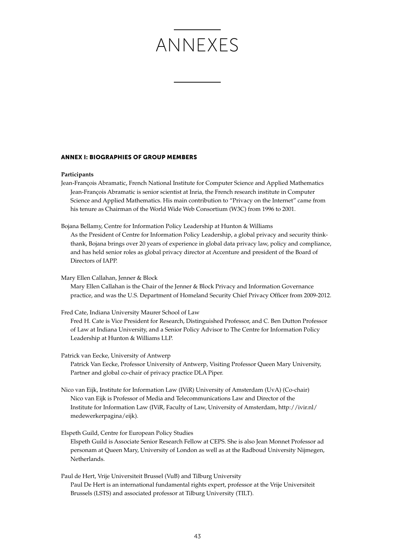# Annexes

#### Annex I: Biographies of group members

#### **Participants**

Jean-François Abramatic, French National Institute for Computer Science and Applied Mathematics Jean-François Abramatic is senior scientist at Inria, the French research institute in Computer Science and Applied Mathematics. His main contribution to "Privacy on the Internet" came from his tenure as Chairman of the World Wide Web Consortium (W3C) from 1996 to 2001.

Bojana Bellamy, Centre for Information Policy Leadership at Hunton & Williams

As the President of Centre for Information Policy Leadership, a global privacy and security thinkthank, Bojana brings over 20 years of experience in global data privacy law, policy and compliance, and has held senior roles as global privacy director at Accenture and president of the Board of Directors of IAPP.

Mary Ellen Callahan, Jenner & Block

Mary Ellen Callahan is the Chair of the Jenner & Block Privacy and Information Governance practice, and was the U.S. Department of Homeland Security Chief Privacy Officer from 2009-2012.

Fred Cate, Indiana University Maurer School of Law

Fred H. Cate is Vice President for Research, Distinguished Professor, and C. Ben Dutton Professor of Law at Indiana University, and a Senior Policy Advisor to The Centre for Information Policy Leadership at Hunton & Williams LLP.

Patrick van Eecke, University of Antwerp Patrick Van Eecke, Professor University of Antwerp, Visiting Professor Queen Mary University, Partner and global co-chair of privacy practice DLA Piper.

Nico van Eijk, Institute for Information Law (IViR) University of Amsterdam (UvA) (Co-chair) Nico van Eijk is Professor of Media and Telecommunications Law and Director of the Institute for Information Law (IViR, Faculty of Law, University of Amsterdam, http://ivir.nl/ medewerkerpagina/eijk).

Elspeth Guild, Centre for European Policy Studies

Elspeth Guild is Associate Senior Research Fellow at CEPS. She is also Jean Monnet Professor ad personam at Queen Mary, University of London as well as at the Radboud University Nijmegen, Netherlands.

Paul de Hert, Vrije Universiteit Brussel (VuB) and Tilburg University Paul De Hert is an international fundamental rights expert, professor at the Vrije Universiteit Brussels (LSTS) and associated professor at Tilburg University (TILT).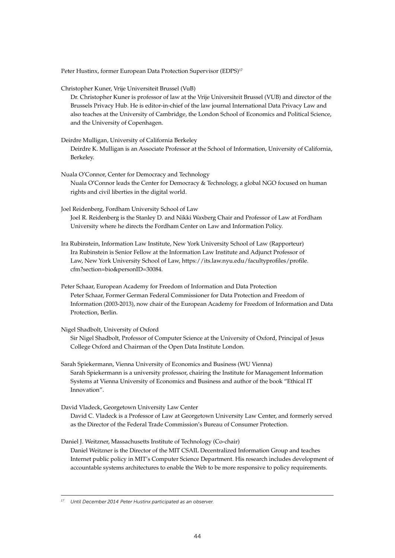Peter Hustinx, former European Data Protection Supervisor (EDPS)<sup>17</sup>

Christopher Kuner, Vrije Universiteit Brussel (VuB)

Dr. Christopher Kuner is professor of law at the Vrije Universiteit Brussel (VUB) and director of the Brussels Privacy Hub. He is editor-in-chief of the law journal International Data Privacy Law and also teaches at the University of Cambridge, the London School of Economics and Political Science, and the University of Copenhagen.

Deirdre Mulligan, University of California Berkeley Deirdre K. Mulligan is an Associate Professor at the School of Information, University of California, Berkeley.

- Nuala O'Connor, Center for Democracy and Technology Nuala O'Connor leads the Center for Democracy & Technology, a global NGO focused on human rights and civil liberties in the digital world.
- Joel Reidenberg, Fordham University School of Law Joel R. Reidenberg is the Stanley D. and Nikki Waxberg Chair and Professor of Law at Fordham University where he directs the Fordham Center on Law and Information Policy.

Ira Rubinstein, Information Law Institute, New York University School of Law (Rapporteur) Ira Rubinstein is Senior Fellow at the Information Law Institute and Adjunct Professor of Law, New York University School of Law, https://its.law.nyu.edu/facultyprofiles/profile. cfm?section=bio&personID=30084.

Peter Schaar, European Academy for Freedom of Information and Data Protection Peter Schaar, Former German Federal Commissioner for Data Protection and Freedom of Information (2003-2013), now chair of the European Academy for Freedom of Information and Data Protection, Berlin.

Nigel Shadbolt, University of Oxford

Sir Nigel Shadbolt, Professor of Computer Science at the University of Oxford, Principal of Jesus College Oxford and Chairman of the Open Data Institute London.

Sarah Spiekermann, Vienna University of Economics and Business (WU Vienna) Sarah Spiekermann is a university professor, chairing the Institute for Management Information Systems at Vienna University of Economics and Business and author of the book "Ethical IT Innovation".

David Vladeck, Georgetown University Law Center

David C. Vladeck is a Professor of Law at Georgetown University Law Center, and formerly served as the Director of the Federal Trade Commission's Bureau of Consumer Protection.

Daniel J. Weitzner, Massachusetts Institute of Technology (Co-chair)

Daniel Weitzner is the Director of the MIT CSAIL Decentralized Information Group and teaches Internet public policy in MIT's Computer Science Department. His research includes development of accountable systems architectures to enable the Web to be more responsive to policy requirements.

*<sup>17</sup> Until December 2014 Peter Hustinx participated as an observer.*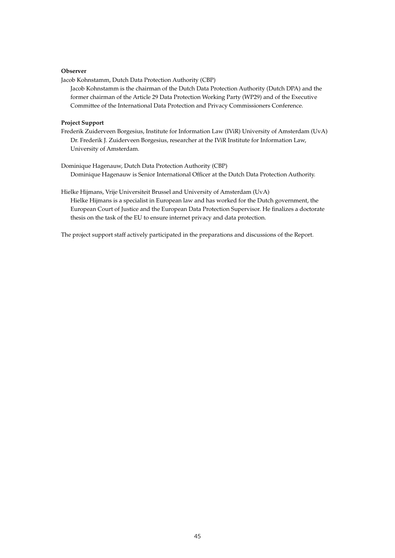#### **Observer**

Jacob Kohnstamm, Dutch Data Protection Authority (CBP)

Jacob Kohnstamm is the chairman of the Dutch Data Protection Authority (Dutch DPA) and the former chairman of the Article 29 Data Protection Working Party (WP29) and of the Executive Committee of the International Data Protection and Privacy Commissioners Conference.

#### **Project Support**

- Frederik Zuiderveen Borgesius, Institute for Information Law (IViR) University of Amsterdam (UvA) Dr. Frederik J. Zuiderveen Borgesius, researcher at the IViR Institute for Information Law, University of Amsterdam.
- Dominique Hagenauw, Dutch Data Protection Authority (CBP) Dominique Hagenauw is Senior International Officer at the Dutch Data Protection Authority.

Hielke Hijmans, Vrije Universiteit Brussel and University of Amsterdam (UvA) Hielke Hijmans is a specialist in European law and has worked for the Dutch government, the European Court of Justice and the European Data Protection Supervisor. He finalizes a doctorate thesis on the task of the EU to ensure internet privacy and data protection.

The project support staff actively participated in the preparations and discussions of the Report.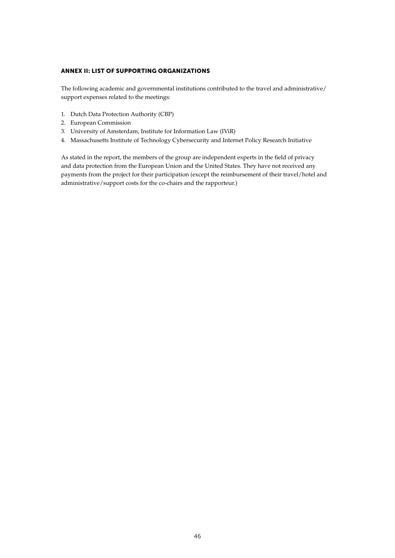#### Annex II: List of supporting organizations

The following academic and governmental institutions contributed to the travel and administrative/ support expenses related to the meetings:

- 1. Dutch Data Protection Authority (CBP)
- 2. European Commission
- 3. University of Amsterdam, Institute for Information Law (IViR)
- 4. Massachusetts Institute of Technology Cybersecurity and Internet Policy Research Initiative

As stated in the report, the members of the group are independent experts in the field of privacy and data protection from the European Union and the United States. They have not received any payments from the project for their participation (except the reimbursement of their travel/hotel and administrative/support costs for the co-chairs and the rapporteur.)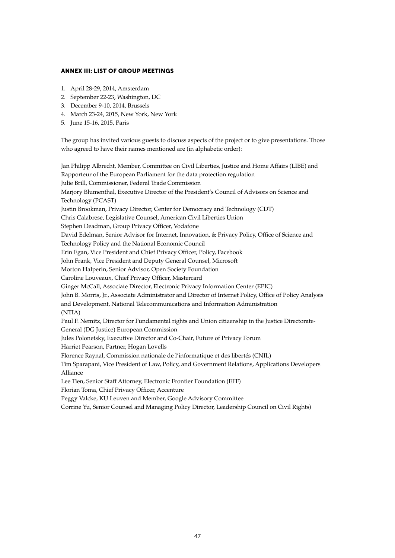#### Annex III: List of group meetings

- 1. April 28-29, 2014, Amsterdam
- 2. September 22-23, Washington, DC
- 3. December 9-10, 2014, Brussels
- 4. March 23-24, 2015, New York, New York
- 5. June 15-16, 2015, Paris

The group has invited various guests to discuss aspects of the project or to give presentations. Those who agreed to have their names mentioned are (in alphabetic order):

Jan Philipp Albrecht, Member, Committee on Civil Liberties, Justice and Home Affairs (LIBE) and Rapporteur of the European Parliament for the data protection regulation Julie Brill, Commissioner, Federal Trade Commission Marjory Blumenthal, Executive Director of the President's Council of Advisors on Science and Technology (PCAST) Justin Brookman, Privacy Director, Center for Democracy and Technology (CDT) Chris Calabrese, Legislative Counsel, American Civil Liberties Union Stephen Deadman, Group Privacy Officer, Vodafone David Edelman, Senior Advisor for Internet, Innovation, & Privacy Policy, Office of Science and Technology Policy and the National Economic Council Erin Egan, Vice President and Chief Privacy Officer, Policy, Facebook John Frank, Vice President and Deputy General Counsel, Microsoft Morton Halperin, Senior Advisor, Open Society Foundation Caroline Louveaux, Chief Privacy Officer, Mastercard Ginger McCall, Associate Director, Electronic Privacy Information Center (EPIC) John B. Morris, Jr., Associate Administrator and Director of Internet Policy, Office of Policy Analysis and Development, National Telecommunications and Information Administration (NTIA) Paul F. Nemitz, Director for Fundamental rights and Union citizenship in the Justice Directorate-General (DG Justice) European Commission Jules Polonetsky, Executive Director and Co-Chair, Future of Privacy Forum Harriet Pearson, Partner, Hogan Lovells Florence Raynal, Commission nationale de l'informatique et des libertés (CNIL) Tim Sparapani, Vice President of Law, Policy, and Government Relations, Applications Developers Alliance Lee Tien, Senior Staff Attorney, Electronic Frontier Foundation (EFF) Florian Toma, Chief Privacy Officer, Accenture Peggy Valcke, KU Leuven and Member, Google Advisory Committee

Corrine Yu, Senior Counsel and Managing Policy Director, Leadership Council on Civil Rights)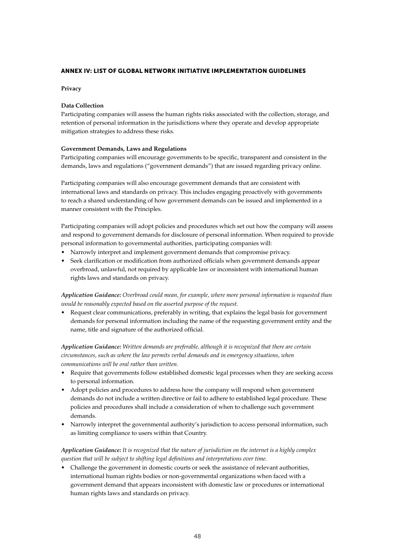#### Annex IV: List of Global Network Initiative Implementation Guidelines

#### **Privacy**

#### **Data Collection**

Participating companies will assess the human rights risks associated with the collection, storage, and retention of personal information in the jurisdictions where they operate and develop appropriate mitigation strategies to address these risks.

#### **Government Demands, Laws and Regulations**

Participating companies will encourage governments to be specific, transparent and consistent in the demands, laws and regulations ("government demands") that are issued regarding privacy online.

Participating companies will also encourage government demands that are consistent with international laws and standards on privacy. This includes engaging proactively with governments to reach a shared understanding of how government demands can be issued and implemented in a manner consistent with the Principles.

Participating companies will adopt policies and procedures which set out how the company will assess and respond to government demands for disclosure of personal information. When required to provide personal information to governmental authorities, participating companies will:

- Narrowly interpret and implement government demands that compromise privacy.
- • Seek clarification or modification from authorized officials when government demands appear overbroad, unlawful, not required by applicable law or inconsistent with international human rights laws and standards on privacy.

*Application Guidance: Overbroad could mean, for example, where more personal information is requested than would be reasonably expected based on the asserted purpose of the request.*

Request clear communications, preferably in writing, that explains the legal basis for government demands for personal information including the name of the requesting government entity and the name, title and signature of the authorized official.

*Application Guidance: Written demands are preferable, although it is recognized that there are certain circumstances, such as where the law permits verbal demands and in emergency situations, when communications will be oral rather than written.*

- Require that governments follow established domestic legal processes when they are seeking access to personal information.
- • Adopt policies and procedures to address how the company will respond when government demands do not include a written directive or fail to adhere to established legal procedure. These policies and procedures shall include a consideration of when to challenge such government demands.
- Narrowly interpret the governmental authority's jurisdiction to access personal information, such as limiting compliance to users within that Country.

#### *Application Guidance: It is recognized that the nature of jurisdiction on the internet is a highly complex question that will be subject to shifting legal definitions and interpretations over time.*

Challenge the government in domestic courts or seek the assistance of relevant authorities, international human rights bodies or non-governmental organizations when faced with a government demand that appears inconsistent with domestic law or procedures or international human rights laws and standards on privacy.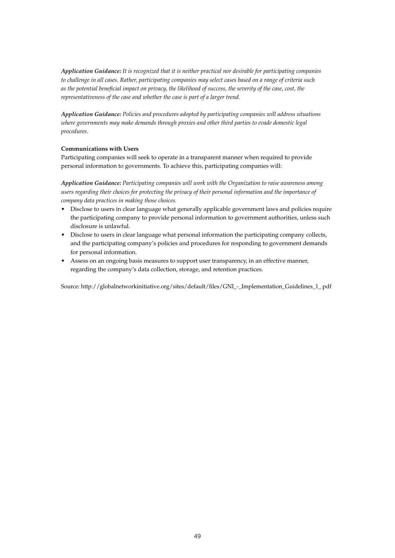*Application Guidance: It is recognized that it is neither practical nor desirable for participating companies to challenge in all cases. Rather, participating companies may select cases based on a range of criteria such as the potential beneficial impact on privacy, the likelihood of success, the severity of the case, cost, the representativeness of the case and whether the case is part of a larger trend.*

*Application Guidance: Policies and procedures adopted by participating companies will address situations where governments may make demands through proxies and other third parties to evade domestic legal procedures.* 

#### **Communications with Users**

Participating companies will seek to operate in a transparent manner when required to provide personal information to governments. To achieve this, participating companies will:

*Application Guidance: Participating companies will work with the Organization to raise awareness among users regarding their choices for protecting the privacy of their personal information and the importance of company data practices in making those choices.*

- • Disclose to users in clear language what generally applicable government laws and policies require the participating company to provide personal information to government authorities, unless such disclosure is unlawful.
- Disclose to users in clear language what personal information the participating company collects, and the participating company's policies and procedures for responding to government demands for personal information.
- Assess on an ongoing basis measures to support user transparency, in an effective manner, regarding the company's data collection, storage, and retention practices.

Source: http://globalnetworkinitiative.org/sites/default/files/GNI\_-\_Implementation\_Guidelines\_1\_.pdf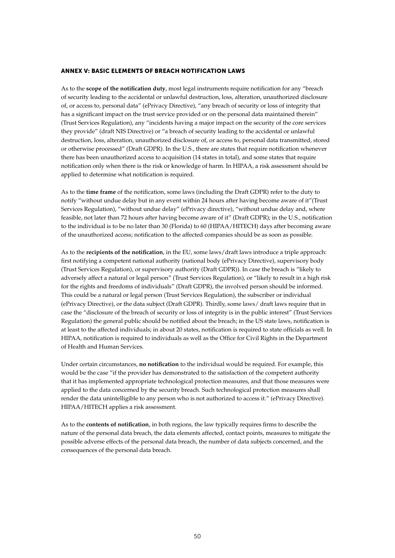#### ANNEX V: BASIC ELEMENTS OF BREACH NOTIFICATION LAWS

As to the **scope of the notification duty**, most legal instruments require notification for any "breach of security leading to the accidental or unlawful destruction, loss, alteration, unauthorized disclosure of, or access to, personal data" (ePrivacy Directive), "any breach of security or loss of integrity that has a significant impact on the trust service provided or on the personal data maintained therein" (Trust Services Regulation), any "incidents having a major impact on the security of the core services they provide" (draft NIS Directive) or "a breach of security leading to the accidental or unlawful destruction, loss, alteration, unauthorized disclosure of, or access to, personal data transmitted, stored or otherwise processed" (Draft GDPR). In the U.S., there are states that require notification whenever there has been unauthorized access to acquisition (14 states in total), and some states that require notification only when there is the risk or knowledge of harm. In HIPAA, a risk assessment should be applied to determine what notification is required.

As to the **time frame** of the notification, some laws (including the Draft GDPR) refer to the duty to notify "without undue delay but in any event within 24 hours after having become aware of it"(Trust Services Regulation), "without undue delay" (ePrivacy directive), "without undue delay and, where feasible, not later than 72 hours after having become aware of it" (Draft GDPR); in the U.S., notification to the individual is to be no later than 30 (Florida) to 60 (HIPAA/HITECH) days after becoming aware of the unauthorized access; notification to the affected companies should be as soon as possible.

As to the **recipients of the notification**, in the EU, some laws/draft laws introduce a triple approach: first notifying a competent national authority (national body (ePrivacy Directive), supervisory body (Trust Services Regulation), or supervisory authority (Draft GDPR)). In case the breach is "likely to adversely affect a natural or legal person" (Trust Services Regulation), or "likely to result in a high risk for the rights and freedoms of individuals" (Draft GDPR), the involved person should be informed. This could be a natural or legal person (Trust Services Regulation), the subscriber or individual (ePrivacy Directive), or the data subject (Draft GDPR). Thirdly, some laws/ draft laws require that in case the "disclosure of the breach of security or loss of integrity is in the public interest" (Trust Services Regulation) the general public should be notified about the breach; in the US state laws, notification is at least to the affected individuals; in about 20 states, notification is required to state officials as well. In HIPAA, notification is required to individuals as well as the Office for Civil Rights in the Department of Health and Human Services.

Under certain circumstances, **no notification** to the individual would be required. For example, this would be the case "if the provider has demonstrated to the satisfaction of the competent authority that it has implemented appropriate technological protection measures, and that those measures were applied to the data concerned by the security breach. Such technological protection measures shall render the data unintelligible to any person who is not authorized to access it." (ePrivacy Directive). HIPAA/HITECH applies a risk assessment.

As to the **contents of notification**, in both regions, the law typically requires firms to describe the nature of the personal data breach, the data elements affected, contact points, measures to mitigate the possible adverse effects of the personal data breach, the number of data subjects concerned, and the consequences of the personal data breach.